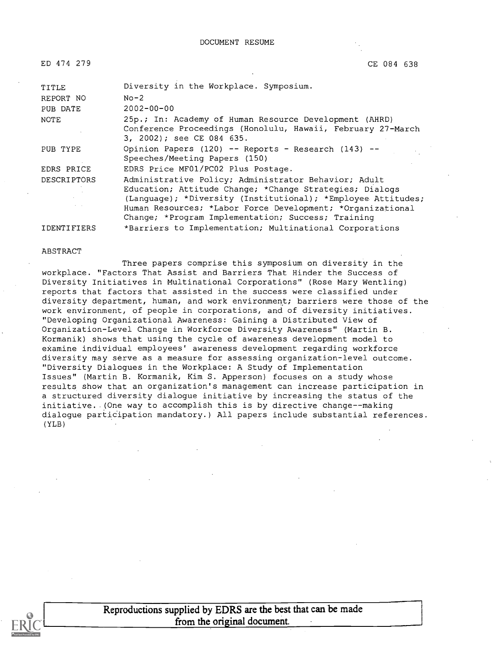DOCUMENT RESUME

| ED 474 279         | CE 084 638                                                                                                                                                                                                                                                                                          |
|--------------------|-----------------------------------------------------------------------------------------------------------------------------------------------------------------------------------------------------------------------------------------------------------------------------------------------------|
| TITLE              | Diversity in the Workplace. Symposium.                                                                                                                                                                                                                                                              |
| REPORT NO          | $No-2$                                                                                                                                                                                                                                                                                              |
| PUB DATE           | $2002 - 00 - 00$                                                                                                                                                                                                                                                                                    |
| <b>NOTE</b>        | 25p.; In: Academy of Human Resource Development (AHRD)<br>Conference Proceedings (Honolulu, Hawaii, February 27-March<br>3, 2002); see CE 084 635.                                                                                                                                                  |
| PUB TYPE           | Opinion Papers (120) -- Reports - Research (143) --<br>Speeches/Meeting Papers (150)                                                                                                                                                                                                                |
| EDRS PRICE         | EDRS Price MF01/PC02 Plus Postage.                                                                                                                                                                                                                                                                  |
| <b>DESCRIPTORS</b> | Administrative Policy; Administrator Behavior; Adult<br>Education; Attitude Change; *Change Strategies; Dialogs<br>(Language); *Diversity (Institutional); *Employee Attitudes;<br>Human Resources; *Labor Force Development; *Organizational<br>Change; *Program Implementation; Success; Training |

IDENTIFIERS \*Barriers to Implementation; Multinational Corporations

#### ABSTRACT

Three papers comprise this symposium on diversity in the workplace. "Factors That Assist and Barriers That Hinder the Success of Diversity Initiatives in Multinational Corporations" (Rose Mary Wentling) reports that factors that assisted in the success were classified under diversity department, human, and work environment; barriers were those of the work environment, of people in corporations, and of diversity initiatives. "Developing Organizational Awareness: Gaining a Distributed View of Organization-Level Change in Workforce Diversity Awareness" (Martin B. Kormanik) shows that using the cycle of awareness development model to examine individual employees' awareness development regarding workforce diversity may serve as a measure for assessing organization-level outcome. "Diversity Dialogues in the Workplace: A Study of Implementation Issues" (Martin B. Kormanik, Kim S. Apperson) focuses on a study whose results show that an organization's management can increase participation in a structured diversity dialogue initiative by increasing the status of the initiative. (One way to accomplish this is by directive change--making dialogue participation mandatory.) All papers include substantial references. (YLB)



Reproductions supplied by EDRS are the best that can be made from the original document.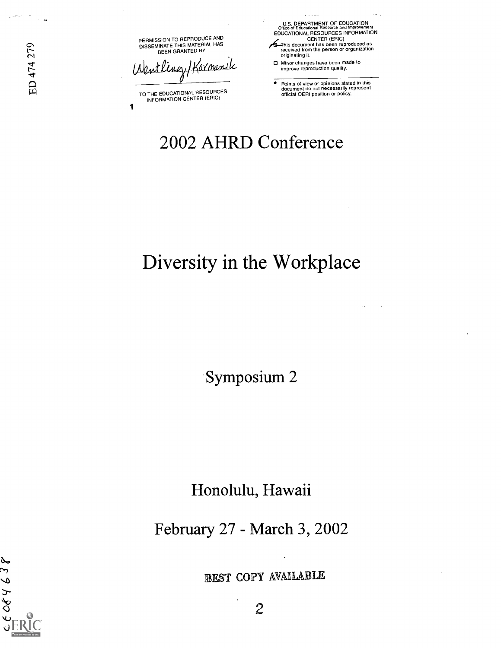PERMISSION TO REPRODUCE AND DISSEMINATE THIS MATEHIAL HAS<br>BEEN GRANTED BY

Wentling/Kormanik

TO THE EDUCATIONAL RESOURCES INFORMATION CENTER (ERIC)

1

U.S. DEPARTMENT OF EDUCATION Office of Educational Research and Improvement EDUCATIONAL RESOURCES INFORMATION CENTER (ERIC)

/4T-his document has been reproduced as received from the person or organization originating it.

0 Minor changes have been made to improve reproduction quality.

Points of view or opinions stated in this document do not necessarily represent official OERI position or policy.

 $\sim$   $\sim$ 

# 2002 AHRD Conference

# Diversity in the Workplace

Symposium 2

Honolulu, Hawaii

February 27 - March 3, 2002

 $66064638$ 

EST COPY AVAIIABILE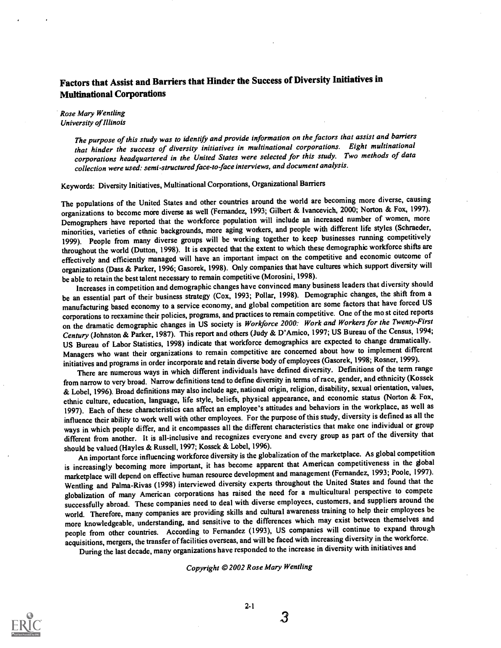# Factors that Assist and Barriers that Hinder the Success of Diversity Initiatives in Multinational Corporations

**Rose Mary Wentling** University of Illinois

> The purpose of this study was to identify and provide information on the factors that assist and barriers that hinder the success of diversity initiatives in multinational corporations. Eight multinational corporations headquartered in the United States were selected for this study. Two methods of data collection were used: semi-structured face-to-face interviews, and document analysis.

Keywords: Diversity Initiatives, Multinational Corporations, Organizational Barriers

The populations of the United States and other countries around the world are becoming more diverse, causing organizations to become more diverse as well (Fernandez, 1993; Gilbert & Ivancevich, 2000; Norton & Fox, 1997). Demographers have reported that the workforce population will include an increased number of women, more minorities, varieties of ethnic backgrounds, more aging workers, and people with different life styles (Schraeder, 1999). People from many diverse groups will be working together to keep businesses running competitively throughout the world (Dutton, 1998). It is expected that the extent to which these demographic workforce shifts are effectively and efficiently managed will have an important impact on the competitive and economic outcome of organizations (Dass & Parker, 1996; Gasorek, 1998). Only companies that have cultures which support diversity will be able to retain the best talent necessary to remain competitive (Morosini, 1998).

Increases in competition and demographic changes have convinced many business leaders that diversity should be an essential part of their business strategy (Cox, 1993; Pollar, 1998). Demographic changes, the shift from a manufacturing based economy to a service economy, and global competition are some factors that have forced US corporations to reexamine their policies, programs, and practices to remain competitive. One of the most cited reports on the dramatic demographic changes in US society is Workforce 2000: Work and Workers for the Twenty-First Century (Johnston & Parker, 1987). This report and others (Judy & D'Amico, 1997; US Bureau of the Census, 1994; US Bureau of Labor Statistics, 1998) indicate that workforce demographics are expected to change dramatically. Managers who want their organizations to remain competitive are concerned about how to implement different initiatives and programs in order incorporate and retain diverse body of employees (Gasorek, 1998; Rosner, 1999).

There are numerous ways in which different individuals have defined diversity. Definitions of the term range from narrow to very broad. Narrow definitions tend to define diversity in terms of race, gender, and ethnicity (Kossek & Lobel, 1996). Broad definitions may also include age, national origin, religion, disability, sexual orientation, values, ethnic culture, education, language, life style, beliefs, physical appearance, and economic status (Norton & Fox, 1997). Each of these characteristics can affect an employee's attitudes and behaviors in the workplace, as well as influence their ability to work well with other employees. For the purpose of this study, diversity is defined as all the ways in which people differ, and it encompasses all the different characteristics that make one individual or group different from another. It is all-inclusive and recognizes everyone and every group as part of the diversity that should be valued (Bayles & Russell, 1997; Kossek & Lobel, 1996).

An important force influencing workforce diversity is the globalization of the marketplace. As global competition is increasingly becoming more important, it has become apparent that American competitiveness in the gobal marketplace will depend on effective human resource development and management (Fernandez, 1993; Poole, 1997). Wentling and Palma-Rivas (1998) interviewed diversity experts throughout the United States and found that the globalization of many American corporations has raised the need for a multicultural perspective to compete successfully abroad. These companies need to deal with diverse employees, customers, and suppliers around the world. Therefore, many companies are providing skills and cultural awareness training to help their employees be more knowledgeable, understanding, and sensitive to the differences which may exist between themselves and people from other countries. According to Fernandez (1993), US companies will continue to expand through acquisitions, mergers, the transfer of facilities overseas, and will be faced with increasing diversity in the workforce.

During the last decade, many organizations have responded tothe increase in diversity with initiatives and

Copyright © 2002 Rose Mary Wentling



 $\overline{\mathbf{3}}$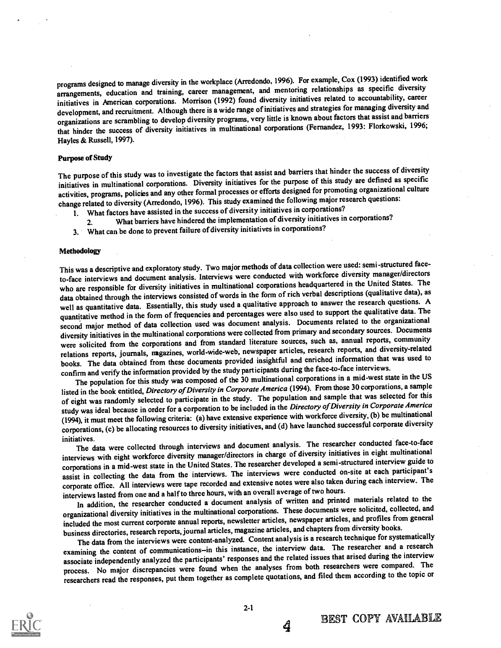programs designed to manage diversity in the workplace (Arredondo, 1996). For example, Cox (1993) identified work arrangements, education and training, career management, and mentoring relationships as specific diversity initiatives in American corporations. Morrison (1992) found diversity initiatives related to accountability, career development, and recruitment. Although there is a wide range of initiatives and strategies for managing diversity and organizations are scrambling to develop diversity programs, very little is known about factors that assist and barriers that hinder the success of diversity initiatives in multinational corporations (Fernandez, 1993: Florkowski, 1996; Hayles & Russell, 1997).

#### Purpose of Study

The purpose of this study was to investigate the factors that assist and barriers that hinder the success of diversity initiatives in multinational corporations. Diversity initiatives for the purpose of this study are defined as specific activities, programs, policies and any other formal processes or efforts designed for promoting organizational culture change related to diversity (Arredondo, 1996). This study examined the following major research questions:

- 1. What factors have assisted in the success of diversity initiatives in corporations?
	- 2. What barriers have hindered the implementation of diversity initiatives in corporations?
- 3. What can be done to prevent failure of diversity initiatives in corporations?

#### **Methodology**

This was a descriptive and exploratory study. Two major methods of data collection were used: semi-structured faceto-face interviews and document analysis. Interviews were conducted with workforce diversity manager/directors who are responsible for diversity initiatives in multinational comporations headquartered in the United States. The data obtained through the interviews consisted of words in the form of rich verbal descriptions (qualitative data), as well as quantitative data. Essentially, this study used a qualitative approach to answer the research questions. A quantitative method in the form of frequencies and percentages were also used to support the qualitative data. The second major method of data collection used was document analysis. Documents related to the organizational diversity initiatives in the multinational corporations were collected from primary and secondary sources. Documents were solicited from the corporations and from standard literature sources, such as, annual reports, community relations reports, journals, nagazines, world-wide-web, newspaper articles, research reports, and diversity-related books. The data obtained from these documents provided insightful and enriched information that was used to confirm and verify the information provided by the study participants during the face-to-face interviews.

The population for this study was composed of the 30 multinational corporations in a mid-west state in the US listed in the book entitled, Directory of Diversity in Corporate America (1994). From those 30 corporations, a sample of eight was randomly selected to participate in the study. The population and sample that was selected for this study was ideal because in order for a corporation to be included in the Directory of Diversity in Corporate America (1994), it must meet the following criteria: (a) have extensive experience with workforce diversity, (b) be multinational corporations, (c) be allocating resources to diversity initiatives, and (d) have launched successful corporate diversity

initiatives.<br>The data were collected through interviews and document analysis. The researcher conducted face-to-face<br>S. We arithmentional interviews and the same of the contractions in eight multinational interviews with eight workforce diversity manager/directors in charge of diversity initiatives in eight multinational corporations in a mid-west state in the United States. The researcher developed a semi-structured interview guide to assist in collecting the data from the interviews. The interviews were conducted on-site at each participant's corporate office. All interviews were tape recorded and extensive notes were also taken during each interview. The interviews lasted from one and a half to three hours, with an overall average of two hours.

In addition, the researcher conducted a document analysis of written and printed materials related to the organizational diversity initiatives in the multinational corporations. These documents were solicited, collected, and included the most current corporate annual reports, newsletter articles, newspaper articles, and profiles from general business directories, research reports, journal articles, magazine articles, and chapters from diversity books.

The data from the interviews were content-analyzed. Content analysis is a research technique for systematically examining the content of communications-in this instance, the interview data. The researcher and a research associate independently analyzed the participants' responses and the related issues that arised during the interview process. No major discrepancies were found when the analyses from both researchers were compared. The researchers read the responses, put them together as complete quotations, and filed them according to the topic or

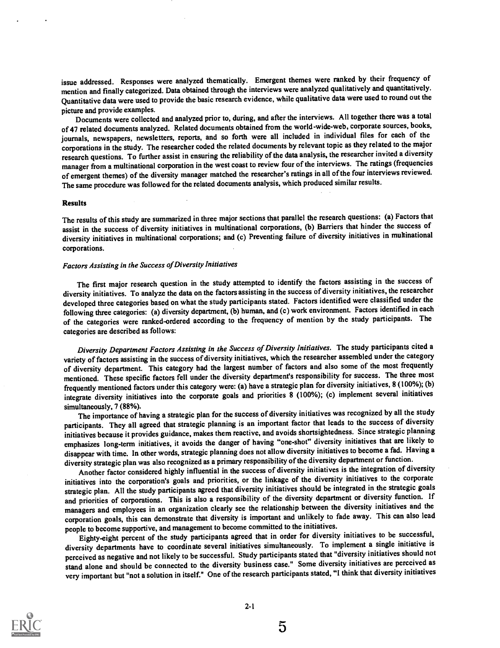issue addressed. Responses were analyzed thematically. Emergent themes were ranked by their frequency of mention and finally categorized. Data obtained through the interviews were analyzed qualitatively and quantitatively. Quantitative data were used to provide the basic research evidence, while qualitative data were used to round out the picture and provide examples.

Documents were collected and analyzed prior to, during, and after the interviews. All together there was a total of 47 related documents analyzed. Related documents obtained from the world-wide-web, corporate sources, books, journals, newspapers, newsletters, reports, and so forth were all included in individual files for each of the corporations in the study. The researcher coded the related documents by relevant topic as they related to the major research questions. To further assist in ensuring the reliability of the data analysis, the researcher invited a diversity manager from a multinational corporation in the west coast to review four of the interviews. The ratings (frequencies of emergent themes) of the diversity manager matched the researcher'sratings in all of the four interviews reviewed. The same procedure was followed for the related documents analysis, which produced similar results.

#### Results

The results of this study are summarized in three major sections that parallel the research questions: (a) Factors that assist in the success of diversity initiatives in multinational corporations, (b) Barriers that hinder the success of diversity initiatives in multinational corporations; and (c) Preventing failure of diversity initiatives in multinational corporations.

### Factors Assisting in the Success of Diversity Initiatives

The first major research question in the study attempted to identify the factors assisting in the success of diversity initiatives. To analyze the data on the factors assisting in the success of diversity initiatives, the researcher developed three categories based on what the study participants stated. Factors identified were classified under the following three categories: (a) diversity department, (b) human, and (c) work environment. Factors identified in each of the categories were ranked-ordered according to the frequency of mention by the study participants. The categories are described as follows:

Diversity Department Factors Assisting in the Success of Diversity Initiatives. The study participants cited a variety of factors assisting in the success of diversity initiatives, which the researcher assembled under the category of diversity department. This category had the largest number of factors and also some of the most frequently mentioned. These specific factors fell under the diversity department's responsibility for success. The three most frequently mentioned factors under this category were: (a) have a strategic plan for diversity initiatives, 8 (100%); (b) integrate diversity initiatives into the corporate goals and priorities 8 (100%); (c) implement several initiatives simultaneously, 7 (88%).

The importance of having a strategic plan for the success of diversity initiatives was recognized by all the study participants. They all agreed that strategic planning is an important factor that leads to the success of diversity initiatives because it provides guidance, makes them reactive, and avoids shortsightedness. Since strategic planning emphasizes long-term initiatives, it avoids the danger of having "one-shot" diversity initiatives that are likely to disappear with time. In other words, strategic planning does not allow diversity initiatives to become a fad. Having a diversity strategic plan was also recognized as a primary responsibility of the diversity department or function.

Another factor considered highly influential in the success of diversity initiatives is the integration of diversity initiatives into the corporation's goals and priorities, or the linkage of the diversity initiatives to the corporate strategic plan. All the study participants agreed that diversity initiatives should be integrated in the strategic goals and priorities of corporations. This is also a responsibility of the diversity department or diversity function. If managers and employees in an organization clearly see the relationship between the diversity initiatives and the corporation goals, this can demonstrate that diversity is important and unlikely to fade away. This can also lead people to become supportive, and management to become committed to the initiatives.

Eighty-eight percent of the study participants agreed that in order for diversity initiatives to be successful, diversity departments have to coordinate several initiatives simultaneously. To implement a single initiative is perceived as negative and not likely to be successful. Study participants stated that "diversity initiatives should not stand alone and should be connected to the diversity business case." Some diversity initiatives are perceived as very important but "not a solution in itself." One of the research participants stated, "I think that diversity initiatives

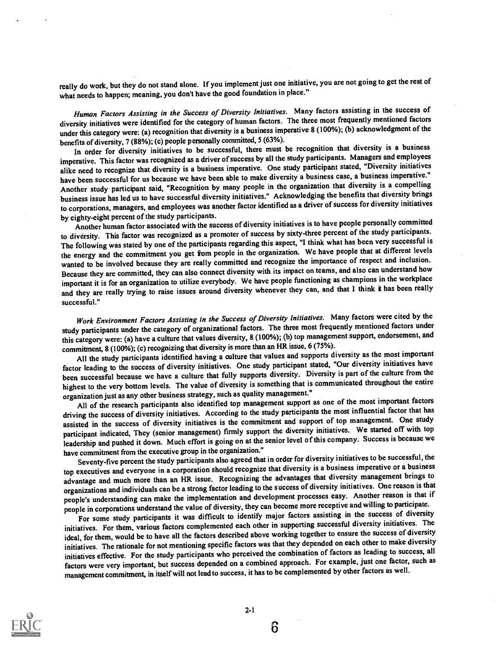really do work, but they do not stand alone. If you implement just one initiative, you are not going to get the rest of what needs to happen; meaning, you don't have the good foundation in place."

Human Factors Assisting in the Success of Diversity Initiatives. Many factors assisting in the success of diversity initiatives were identified for the category of human factors. The three most frequently mentioned factors under this category were: (a) recognition that diversity is a business imperative 8 (100%); (b) acknowledgment of the benefits of diversity, 7 (88%); (c) people personally committed, 5 (63%).

In order for diversity initiatives to be successful, there must be recognition that diversity is a business imperative. This factor was recognized as a driver of success by all the study participants. Managers and employees alike need to recognize that diversity is a business imperative. One study participant stated, "Diversity initiatives have been successful for us because we have been able to make diversity a business case, a business imperative." Another study participant said, "Recognition by many people in the organization that diversity is a compelling business issue has led us to have successful diversity initiatives." Acknowledging the benefits that diversity brings to corporations, managers, and employees was another factor identified as a driver of success for diversity initiatives by eighty-eight percent of the study participants.

Another human factor associated with the success of diversity initiatives is to have people personally committed to diversity. This factor was recognized as a promoter of success by sixty-three percent of the study participants. The following was stated by one of the participants regarding this aspect, "I think what has been very successful is the energy and the commitment you get from people in the organization. We have people that at different levels wanted to be involved because they are really committed and recognize the importance of respect and inclusion. Because they are committed, they can also connect diversity with its impact on teams, and also can understand how important it is for an organization to utilize everybody. We have people functioning as champions in the workplace and they are really trying to raise issues around diversity whenever they can, and that I think it has been really successful."

Work Environment Factors Assisting in the Success of Diversity Initiatives. Many factors were cited by the study participants under the category of organizational factors. The three most frequently mentioned factors under this category were: (a) have a culture that values diversity, 8 (100%); (b) top management support, endorsement, and commitment, 8 (100%); (c) recognizing that diversity is more than an HR issue, 6 (75%).

All the study participants identified having a culture that values and supports diversity as the most important factor leading to the success of diversity initiatives. One study participant stated, "Our diversity initiatives have been successful because we have a culture that fully supports diversity. Diversity is part of the culture from the highest to the very bottom levels. The value of diversity is something that is communicated throughout the entire organization just as any other business strategy, such as quality management."

All of the research participants also identified top management support as one of the most important factors driving the success of diversity initiatives. According to the study participants the most influential factor that has assisted in the success of diversity initiatives is the commitment and support of top management. One study participant indicated, They (senior management) firmly support the diversity initiatives. We started off with top leadership and pushed it down. Much effort is going on at the senior level of this company. Success is because we have commitment from the executive group in the organization."

Seventy-five percent the study participants also agreed that in order for diversity initiatives to be successful, the top executives and everyone in a corporation should recognize that diversity is a business imperative or a business advantage and much more than an HR issue. Recognizing the advantages that diversity management brings to organizations and individuals can be a strong factor leading to the success of diversity initiatives. One reason is that people's understanding can make the implementation and development processes easy. Another reason is that if people in corporations understand the value of diversity, they can become more receptive and willing to participate.

For some study participants it was difficult to identify major factors assisting in the success of diversity initiatives. For them, various factors complemented each other in supporting successful diversity initiatives. The ideal, for them, would be to have all the factors described above working together to ensure the success of diversity initiatives. The rationale for not mentioning specific factors was that they depended on each other to make diversity initiatives effective. For the study participants who perceived the combination of factors as leading to success, all factors were very important, but success depended on a combined approach. For example, just one factor, such as management commitment, in itself will not lead to success, it has to be complemented by other factors as well.

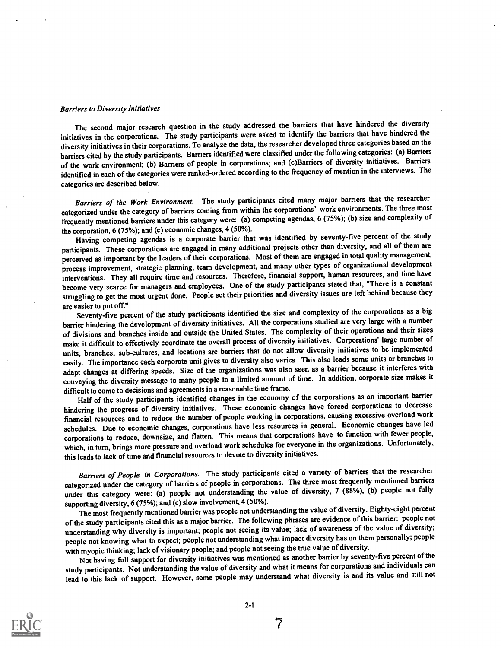#### Barriers to Diversity Initiatives

The second major research question in the study addressed the barriers that have hindered the diversity initiatives in the corporations. The study participants were asked to identify the barriers that have hindered the diversity initiatives in their corporations. To analyze the data, the researcher developed three categories based on the barriers cited by the study participants. Barriers identified were classified under the following categories: (a) Barriers of the work environment; (b) Barriers of people in corporations; and (c)Barriers of diversity initiatives. Barriers identified in each of the categories were ranked-ordered according to the frequency of mention in the interviews. The categories are described below.

Barriers of the Work Environment. The study participants cited many major barriers that the researcher categorized under the category of barriers coming from within the corporations' work environments. The three most frequently mentioned barriers under this category were: (a) competing agendas, 6 (75%); (b) size and complexity of the corporation, 6 (75%); and (c) economic changes, 4 (50%).

Having competing agendas is a corporate barrier that was identified by seventy-five percent of the study participants. These corporations are engaged in many additional projects other than diversity, and all of them are perceived as important by the leaders of their corporations. Most of them are engaged in total quality management, process improvement, strategic planning, team development, and many other types of organizational development interventions. They all require time and resources. Therefore, financial support, human resources, and time have become very scarce for managers and employees. One of the study participants stated that, "There is a constant struggling to get the most urgent done. People set their priorities and diversity issues are left behind because they are easier to put off."

Seventy-five percent of the study participants identified the size and complexity of the corporations as a big barrier hindering the development of diversity initiatives. All the corporations studied are very large with a number of divisions and branches inside and outside the United States. The complexity of their operations and their sizes make it difficult to effectively coordinate the overall process of diversity initiatives. Corporations' large number of units, branches, sub-cultures, and locations are barriers that do not allow diversity initiatives to be implemented easily. The importance each corporate unit gives to diversity also varies. This also leads some units or branches to adapt changes at differing speeds. Size of the organizations was also seen as a barrier because it interferes with conveying the diversity message to many people in a limited amount of time. In addition, corporate size makes it difficult to come to decisions and agreements in a reasonable time frame.

Half of the study participants identified changes in the economy of the corporations as an important barrier hindering the progress of diversity initiatives. These economic changes have forced corporations to decrease financial resources and to reduce the number of people working in corporations, causing excessive overload work schedules. Due to economic changes, corporations have less resources in general. Economic changes have led corporations to reduce, downsize, and flatten. This means that corporations have to function with fewer people, which, in turn, brings more pressure and overload work schedules for everyone in the organizations. Unfortunately, this leads to lack of time and financial resources to devote to diversity initiatives.

Barriers of People in Corporations. The study participants cited a variety of barriers that the researcher categorized under the category of barriers of people in corporations. The three most frequently mentioned barriers under this category were: (a) people not understanding the value of diversity, 7 (88%), (b) people not fully supporting diversity, 6 (75%); and (c) slow involvement, 4 (50%).

The most frequently mentioned barrier was people not understanding the value of diversity. Eighty-eight percent of the study participants cited this as a major barrier. The following phrases are evidence of this barrier: people not understanding why diversity is important; people not seeing its value; lack of awareness of the value of diversity; people not knowing what to expect; people not understanding what impact diversity has on them personally; people with myopic thinking; lack of visionary people; and people not seeing the true value of diversity.

Not having full support for diversity initiatives was mentioned as another barrier by seventy-five percent of the study participants. Not understanding the value of diversity and what it means for corporations and individuals can lead to this lack of support. However, some people may understand what diversity is and its value and still not

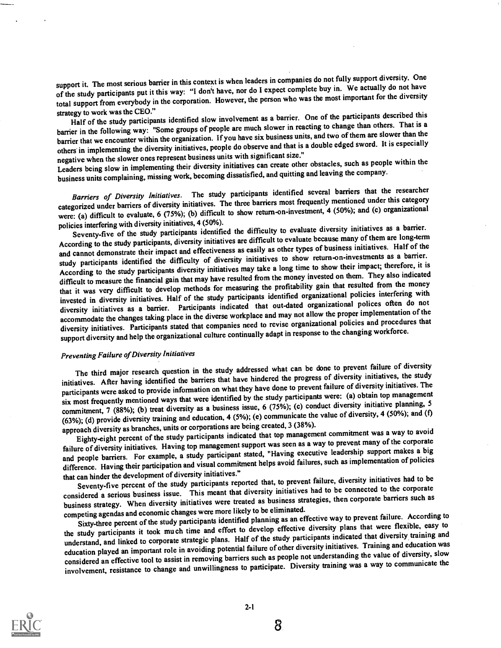support it. The most serious barrier in this context is when leaders in companies do not fully support diversity. One of the study participants put it this way: "I don't have, nor do I expect complete buy in. We actually do not have total support from everybody in the corporation. However, the person who was the most important for the diversity strategy to work was the CEO."

strategy to work was the CEO."<br>Half of the study participants identified slow involvement as a barrier. One of the participants described this barrier in the following way: "Some groups of people are much slower in reacting to change than others. That is a barrier that we encounter within the organization. If you have six business units, and two of them are slower than the others in implementing the diversity initiatives, people do observe and that is a double edged sword. It is especially negative when the slower ones represent business units with significant size."

Leaders being slow in implementing their diversity initiatives can create other obstacles, such as people within the business units complaining, missing work, becoming dissatisfied, and quitting and leaving the company.

Barriers of Diversity Initiatives. The study participants identified several barriers that the researcher categorized under barriers of diversity initiatives. The three barriers most frequently mentioned under this category were: (a) difficult to evaluate, 6 (75%); (b) difficult to show return-on-investment, 4 (50%); and (c) organizational policies interfering with diversity initiatives, 4 (50%).

Seventy-five of the study participants identified the difficulty to evaluate diversity initiatives as a barrier. According to the study participants, diversity initiatives are difficult to evaluate because many of them are long-term and cannot demonstrate their impact and effectiveness as easily as other types of business initiatives. Half of the study participants identified the difficulty of diversity initiatives to show return-on-investments as a barrier. According to the study participants diversity initiatives may take a long time to show their impact; therefore, it is difficult to measure the financial gain that may have resulted from the money invested on them. They also indicated that it was very difficult to develop methods for measuring the profitability gain that resulted from the money invested in diversity initiatives. Half of the study participants identified organizational policies interfering with diversity initiatives as a barrier. Participants indicated that out-dated organizational polices often do not accommodate the changes taking place in the diverse workplace and may not allow the proper implementation of the diversity initiatives. Participants stated that companies need to revise organizational policies and procedures that support diversity and help the organizational culture continually adapt in response to the changing workforce.

## Preventing Failure of Diversity Initiatives

The third major research question in the study addressed what can be done to prevent failure of diversity initiatives. After having identified the barriers that have hindered the progress of diversity initiatives, the study participants were asked to provide information on what they have done to prevent failure of diversity initiatives. The six most frequently mentioned ways that were identified by the study participants were: (a) obtain top management commitment, 7 (88%); (b) treat diversity as a business issue, 6 (75%); (c) conduct diversity initiative planning, 5 (63%); (d) provide diversity training and education, 4 (5%); (e) communicate the value of diversity, 4 (50%); and (f) approach diversity as branches, units or corporations are being created, 3 (38%).

Eighty-eight percent of the study participants indicated that top management commitment was a way to avoid failure of diversity initiatives. Having top management support was seen as a way to prevent many of the corporate and people barriers. For example, a study participant stated, "Having executive leadership support makes a big difference. Having their participation and visual commitment helps avoid failures, such as implementation of policies that can hinder the development of diversity initiatives."

Seventy-five percent of the study participants reported that, to prevent failure, diversity initiatives had to be considered a serious business issue. This meant that diversity initiatives had to be connected to the corporate business strategy. When diversity initiatives were treated as business strategies, then corporate barriers such as competing agendas and economic changes were more likely to be eliminated.

Sixty-three percent of the study participants identified planning as an effective way to prevent failure. According to the study participants it took much time and effort to develop effective diversity plans that were flexible, easy to understand, and linked to corporate strategic plans. Half of the study participants indicated that diversity training and education played an important role in avoiding potential failure of other diversity initiatives. Training and education was considered an effective tool to assist in removing barriers such as people not understanding the value of diversity, slow involvement, resistance to change and unwillingness to participate. Diversity training was a way to communicate the

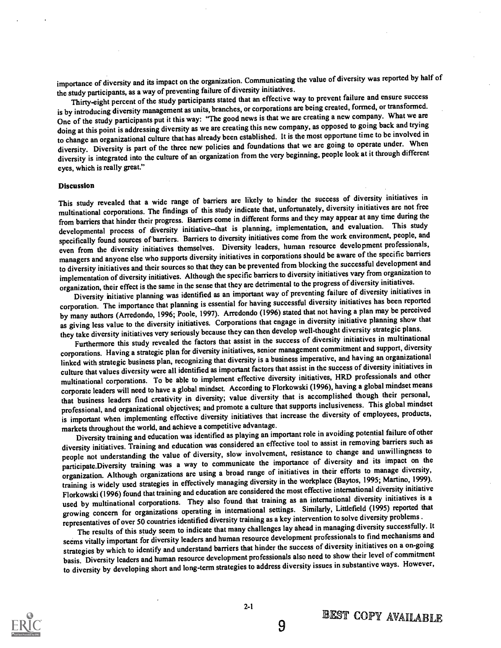importance of diversity and its impact on the organization. Communicating the value of diversity was reported by half of the study participants, as a way of preventing failure of diversity initiatives.

Thirty-eight percent of the study participants stated that an effective way to prevent failure and ensure success is by introducing diversity management as units, branches, or corporations are being created, formed, or transformed. One of the study participants put it this way: "The good news is that we are creating a new company. What we are doing at this point is addressing diversity as we are creating this new company, as opposed to going back and trying to change an organizational culture that has already been established. It is the most opportune time to be involved in diversity. Diversity is part of the three new policies and foundations that we are going to operate under. When diversity is integrated into the culture of an organization from the very beginning, people look at it through different eyes, which is really great."

#### Discussion

This study revealed that a wide range of barriers are likely to hinder the success of diversity initiatives in multinational corporations. The findings of this study indicate that, unfortunately, diversity initiatives are not free from barriers that hinder their progress. Barriers come in different forms and they may appear at any time during the developmental process of diversity initiative-that is planning, implementation, and evaluation. This study specifically found sources of barriers. Barriers to diversity initiatives come from the work environment, people, and even from the diversity initiatives themselves. Diversity leaders, human resource development professionals, managers and anyone else who supports diversity initiatives in corporations should be aware of the specific barriers to diversity initiatives and their sources so that they can be prevented from blocking the successful development and implementation of diversity initiatives. Although the specific barriers to diversity initiatives vary from organization to organization, their effect is the same in the sense that they are detrimental to the progress of diversity initiatives.

Diversity initiative planning was identified as an important way of preventing failure of diversity initiatives in corporation. The importance that planning is essential for having successful diversity initiatives has been reported by many authors (Arredondo, 1996; Poole, 1997). Arredondo (1996) stated that not having a plan may be perceived as giving less value to the diversity initiatives. Corporations that engage in diversity initiative planning show that they take diversity initiatives very seriously because they can then develop well-thought diversity strategic plans.

Furthermore this study revealed the factors that assist in the success of diversity initiatives in multinational corporations. Having a strategic plan for diversity initiatives, senior management commitment and support, diversity linked with strategic business plan, recognizing that diversity is a business imperative, and having an organizational culture that values diversity were all identified as important factors that assist in the success of diversity initiatives in multinational corporations. To be able to implement effective diversity initiatives, HRD professionals and other corporate leaders will need to have a global mindset. According to Florkowski (1996), having a global mindset means that business leaders find creativity in diversity; value diversity that is accomplished though their personal, professional, and organizational objectives; and promote a culture that supports inclusiveness. This global mindset is important when implementing effective diversity initiatives that increase the diversity of employees, products, markets throughout the world, and achieve a competitive advantage.

Diversity training and education was identified as playing an important role in avoiding potential failure of other diversity initiatives. Training and education was considered an effective tool to assist in removing barriers such as people not understanding the value of diversity, slow involvement, resistance to change and unwillingness to participate.Diversity training was a way to communicate the importance of diversity and its impact on the organization. Although organizations are using a broad range of initiatives in their efforts to manage diversity, training is widely used strategies in effectively managing diversity in the workplace (Baytos, 1995; Martino, 1999). Florkowski (1996) found that training and education are considered the most effective international diversity initiative used by multinational corporations. They also found that training as an international diversity initiatives is a growing concern for organizations operating in international settings. Similarly, Littlefield (1995) reported that representatives of over 50 countries identified diversity training as a key intervention to solve diversity problems .

The results of this study seem to indicate that many challenges lay ahead in managing diversity successfully. It seems vitally important for diversity leaders and human resource development professionals to find mechanisms and strategies by which to identify and understand barriers that hinder the success of diversity initiatives on a on-going basis. Diversity leaders and human resource development professionals also need to show their level of commitment to diversity by developing short and long-term strategies to address diversity issues in substantive ways. However,

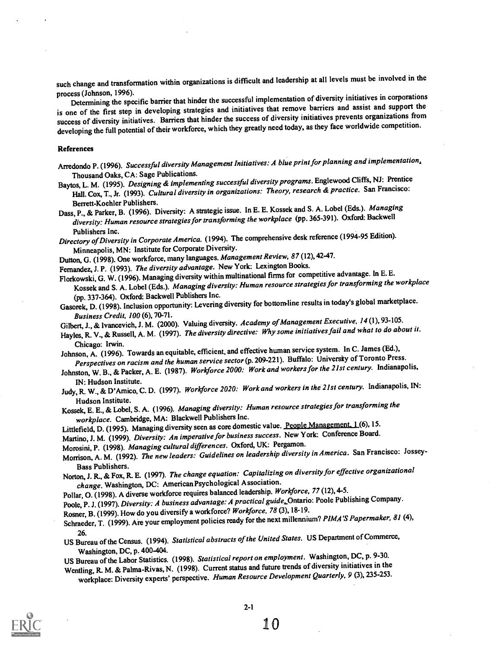such change and transformation within organizations is difficult and leadership at all levels must be involved in the process (Johnson, 1996).

process (Johnson, 1996).<br>Determining the specific barrier that hinder the successful implementation of diversity initiatives in corporations is one of the first step in developing strategies and initiatives that remove barriers and assist and support the success of diversity initiatives. Barriers that hinder the success of diversity initiatives prevents organizations from developing the full potential of their workforce, which they greatly need today, as they face worldwide competition.

#### References

Arredondo P. (1996). Successful diversity Management Initiatives: A blue print for planning and implementation, Thousand Oaks, CA: Sage Publications.

Baytos, L. M. (1995). Designing & implementing successful diversity programs. Englewood Cliffs, NJ: Prentice Hall. Cox, T., Jr. (1993). *Cultural diversity in organizations: Theory, research & practice.* San Francisco:<br>Berrett-Koehler Publishers.

Berrett-Koehler Publishers.<br>Dass, P., & Parker, B. (1996). Diversity: A strategic issue. In E. E. Kossek and S. A. Lobel (Eds.). Managing diversity: Human resource strategies for transforming the workplace (pp. 365-391). Oxford: Backwell

Publishers Inc.<br>Directory of Diversity in Corporate America. (1994). The comprehensive desk reference (1994-95 Edition). Minneapolis, MN: Institute for Corporate Diversity.

Dutton, G. (1998). One workforce, many languages. Management Review, 87 (12), 42-47.

Fernandez, J. P. (1993). The diversity advantage. New York: Lexington Books.

Florkowski, G. W. (1996). Managing diversity within multinational firms for competitive advantage. In E. E.

Kossek and S. A. Lobel (Eds.). Managing diversity: Human resource strategies for transforming the workplace (pp. 337-364). Oxford: Backwell Publishers Inc.

Gasorek, D. (1998). Inclusion opportunity: Levering diversity for bottom-line results in today's global marketplace. Business Credit, 100 (6), 70-71.

Gilbert, J., & Ivancevich, J. M. (2000). Valuing diversity. Academy of Management Executive, 14 (1), 93-105.

Hayles, R. V., & Russell, A. M. (1997). The diversity directive: Why some initiatives fail and what to do about it.

Chicago: Irwin. Johnson, A. (1996). Towards an equitable, efficient, and effective human service system. In C. James (Ed.), Perspectives on racism and the human service sector(p. 209-221). Buffalo: Universty of Toronto Press.

Johnston, W. B., & Packer, A. E. (1987). Workforce 2000: Work and workers for the 21st century. Indianapolis,

IN: Hudson Institute.<br>Judy, R. W., & D'Amico, C. D. (1997). *Workforce 2020: Work and workers in the 21st century*. Indianapolis, IN:

Hudson Institute. Kossek, E. E., & Lobel, S. A. (1996). Managing diversity: Human resource strategiesfor transforming the workplace. Cambridge, MA: Blackwell Publishers Inc.

Littlefield, D. (1995). Managing diversity seen as core domestic value. People Management. 1 (6), 15.

Martino, J. M. (1999). Diversity: An imperative for business success. New York: Conference Board.

Morosini, P. (1998). Managing cultural differences. Oxford, UK: Pergamon.

Morrison, A. M. (1992). The new leaders: Guidelines on leadership diversity in America. San Francisco: Jossey-

Bass Publishers. Norton, J. R., & Fox, R. E. (1997). The change equation: Capitalizing on diversity for effective organizational change. Washington, DC: American Psychological Association.

Pollar, 0. (1998). A diverse workforce requires balanced leadership. Workforce, 77 (12), 4-5.

Poole, P. J. (1997). Diversity: A business advantage: A practical guide, Ontario: Poole Publishing Company.

Rosner, B. (1999). How do you diversify a workforce? Workforce, 78 (3), 18-19.

Schraeder, T. (1999). Are your employment policies ready for the next millennium? PIMA'S Papermaker, 81 (4),

26. US Bureau of the Census. (1994). Statistical abstracts of the United States. US Department of Commerce, Washington, DC, p. 400-404.

US Bureau of the Labor Statistics. (1998). Statistical report on employment. Washington, DC, p. 9-30.

Wending, R M. & Palma-Rivas, N. (1998). Current status and future trends of diversity initiatives in the workplace: Diversity experts' perspective. Human Resource Development Quarterly, 9 (3), 235-253.

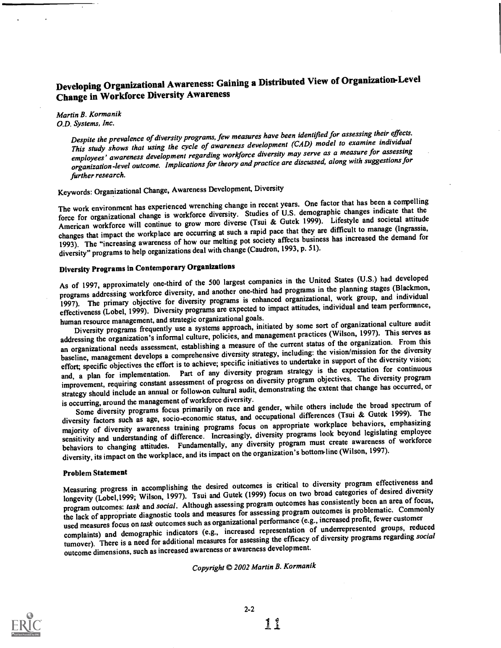# Developing Organizational Awareness: Gaining a Distributed View of Organization-Level Change in Workforce Diversity Awareness

Martin B. Kormanik O.D. Systems, Inc.

Despite the prevalence of diversity programs, few measures have been identified for assessing their effects. This study shows that using the cycle of awareness development (CAD) model to examine individual employees' awareness development regarding workforce diversity may serve as a measure for assessing organization-level outcome. Implications for theory and practice are discussed, along with suggestions for further research.

# Keywords: Organizational Change, Awareness Development, Diversity

The work environment has experienced wrenching change in recent years. One factor that has been a compelling force for organizational change is workforce diversity. Studies of U.S. demographic changes indicate that the American workforce will continue to grow more diverse (Tsui & Gutek 1999). Lifestyle and societal attitude changes that impact the workplace are occurring at such a rapid pace that they are difficult to manage (Ingrassia, 1993). The "increasing awareness of how our melting pot society affects business has increased the demand for diversity" programs to help organizations deal with change (Caudron, 1993, p. 51).

# Diversity Programs in ContemporaryOrganizations

As of 1997, approximately one-third of the 500 largest companies in the United States (U.S.) had developed programs addressing workforce diversity, and another one-third had programs in the planning stages (Blackmon, 1997). The primary objective for diversity programs is enhanced organizational, work group, and individual effectiveness (Lobel, 1999). Diversity programs are expected to impact attitudes, individual and team performance, human resource management, and strategic organizational goals.

Diversity programs frequently use a systems approach, initiated by some sort of organizational culture audit addressing the organization's informal culture, policies, and management practices (Wilson, 1997). This serves as an organizational needs assessment, establishing a measure of the current status of the organization. From this baseline, management develops a comprehensive diversity strategy, including: the vision/mission for the diversity effort; specific objectives the effort is to achieve; specific initiatives to undertake in support of the diversity vision; and, a plan for implementation. Part of any diversity program strategy is the expectation for continuous improvement, requiring constant assessment of progress on diversity program objectives. The diversity program strategy should include an annual or follow-on cultural audit, demonstrating the extent that change has occurred, or is occurring, around the management of workforce diversity.

Some diversity programs focus primarily on race and gender, while others include the broad spectrum of diversity factors such as age, socio-economic status, and occupational differences (Tsui & Gutek 1999). The majority of diversity awareness training programs focus on appropriate workplace behaviors, emphasizing sensitivity and understanding of difference. Increasingly, diversity programs look beyond legislating employee behaviors to changing attitudes. Fundamentally, any diversity program must create awareness of workforce diversity, its impact on the workplace, and its impact on the organization's bottom-line (Wilson, 1997).

#### Problem Statement

Measuring progress in accomplishing the desired outcomes is critical to diversity program effectiveness and longevity (Lobel,1999; Wilson, 1997). Tsui and Gutek (1999) focus on two broad categories of desired diversity program outcomes: task and social. Although assessing program outcomes has consistently been an area of focus, the lack of appropriate diagnostic tools and measures for assessing program outcomes is problematic. Commonly used measures focus on task outcomes such as organizational performance (e.g., increased profit, fewer customer complaints) and demographic indicators (e.g., increased representation of underrepresented groups, reduced turnover). There is a need for additional measures for assessing the efficacy of diversity programs regarding social outcome dimensions, such as increased awareness or awareness development.

## Copyright © 2002 Martin B. Kormanik

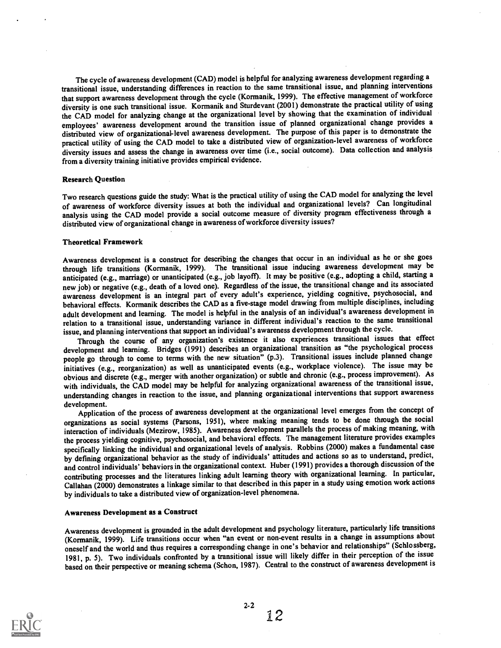The cycle of awareness development (CAD) model is helpful for analyzing awareness development regarding a transitional issue, understanding differences in reaction to the same transitional issue, and planning interventions that support awareness development through the cycle (Kormanik, 1999). The effective management of workforce diversity is one such transitional issue. Kormanik and Sturdevant (2001) demonstrate the practical utility of using the CAD model for analyzing change at the organizational level by showing that the examination of individual employees' awareness development around the transition issue of planned organizational change provides a distributed view of organizational-level awareness development. The purpose of this paper is to demonstrate the practical utility of using the CAD model to take a distributed view of organization-level awareness of workforce diversity issues and assess the change in awareness over time (i.e., social outcome). Data collection and analysis from a diversity training initiative provides empirical evidence.

#### Research Question

Two research questions guide the study: What is the practical utility of using the CAD model for analyzing the level of awareness of workforce diversity issues at both the individual and organizational levels? Can longitudinal analysis using the CAD model provide a social outcome measure of diversity program effectiveness through a distributed view of organizational change in awareness of workforce diversity issues?

#### Theoretical Framework

Awareness development is a construct for describing the changes that occur in an individual as he or she goes through life transitions (Kormanik, 1999). The transitional issue inducing awareness development may be anticipated (e.g., marriage) or unanticipated (e.g., job layoff). It may be positive (e.g., adopting a child, starting a new job) or negative (e.g., death of a loved one). Regardless of the issue, the transitional change and its associated awareness development is an integral part of every adult's experience, yielding cognitive, psychosocial, and behavioral effects. Kormanik describes the CAD as a five-stage model drawing from multiple disciplines, including adult development and learning. The model is helpful in the analysis of an individual's awareness development in relation to a transitional issue, understanding variance in different individual's reaction to the same transitional issue, and planning interventions that support an individual's awareness development through the cycle.

Through the course of any organization's existence it also experiences transitional issues that effect development and learning. Bridges (1991) describes an organizational transition as "the psychological process people go through to come to terms with the new situation" (p.3). Transitional issues include planned change initiatives (e.g., reorganization) as well as unanticipated events (e.g., workplace violence). The issue may be obvious and discrete (e.g., merger with another organization) or subtle and chronic (e.g., process improvement). As with individuals, the CAD model may be helpful for analyzing organizational awareness of the transitional issue, understanding changes in reaction to the issue, and planning organizational interventions that support awareness development.

Application of the process of awareness development at the organizational level emerges from the concept of organizations as social systems (Parsons, 1951), where making meaning tends to be done through the social interaction of individuals (Mezirow, 1985). Awareness development parallels the process of making meaning, with the process yielding cognitive, psychosocial, and behavioral effects. The management literature provides examples specifically linking the individual and organizational levels of analysis. Robbins (2000) makes a fundamental case by defining organizational behavior as the study of individuals' attitudes and actions so as to understand, predict, and control individuals' behaviors in the organizational context. Huber (1991) provides a thorough discussion of the contributing processes and the literatures linking adult learning theory with organizational learning. In particular, Callahan (2000) demonstrates a linkage similar to that described in this paperin a study using emotion work actions by individuals to take a distributed view of organization-level phenomena.

#### Awareness Development as a Construct

Awareness development is grounded in the adult development and psychology literature, particularly life transitions (Kormanik, 1999). Life transitions occur when "an event or non-event results in a change in assumptions about oneself and the world and thus requires a corresponding change in one's behavior and relationships" (Schlossberg, 1981, p. 5). Two individuals confronted by a transitional issue will likely differ in their perception of the issue based on their perspective or meaning schema (Schon, 1987). Central to the construct of awareness development is



 $2 - 2$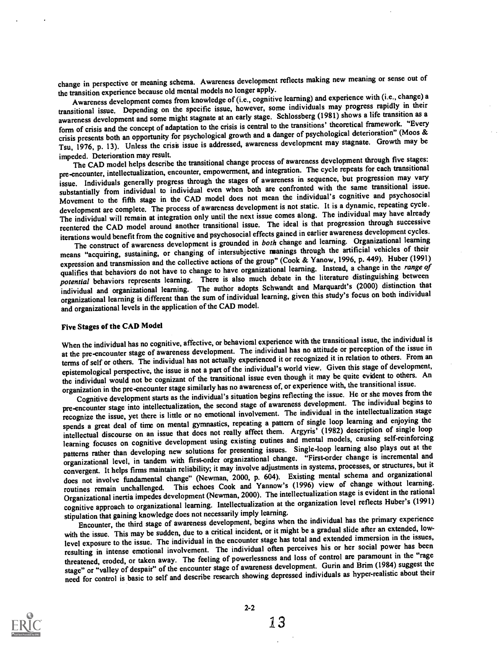change in perspective or meaning schema. Awareness development reflects making new meaning or sense out of the transition experience because old mental models no longer apply.

Awareness development comes from knowledge of (i.e., cognitive learning) and experience with (i.e., change) a transitional issue. Depending on the specific issue, however, some individuals may progress rapidly in their awareness development and some might stagnate at an early stage. Schlossberg (1981) shows a life transition as a form of crisis and the concept of adaptation to the crisis is central to the transitions' theoretical framework. "Every crisis presents both an opportunity for psychological growth and a danger of psychological deterioration" (Moos & Tsu, 1976, p. 13). Unless the crisis issue is addressed, awareness development may stagnate. Growth may be impeded. Deterioration may result.

impeded. Deterioration may result.<br>The CAD model helps describe the transitional change process of awareness development through five stages: pre-encounter, intellectualization, encounter, empowerment, and integration. The cycle repeats for each transitional issue. Individuals generally progress through the stages of awareness in sequence, but progression may vary substantially from individual to individual even when both are confronted with the same transitional issue. Movement to the fifth stage in the CAD model does not mean the individual's cognitive and psychosocial development are complete. The process of awareness development is not static. It is a dynamic, repeating cycle. The individual will remain at integration only until the next issue comes along. The individual may have already reentered the CAD model around another transitional issue. The ideal is that progression through successive iterations would benefit from the cognitive and psychosocial effects gained in earlier awareness development cycles.

The construct of awareness development is grounded in both change and learning. Organizational learning means "acquiring, sustaining, or changing of intersubjective manings through the artificial vehicles of their expression and transmission and the collective actions of the group" (Cook & Yanow, 1996, p. 449). Huber (1991) qualifies that behaviors do not have to change to have organizational learning. Instead, a change in the range of potential behaviors represents learning. There is also much debate in the literature distinguishing between individual and organizational learning. The author adopts Schwandt and Marquardt's (2000) distinction that organizational learning is different than the sum of individual learning, given this study's focus on both individual and organizational levels in the application of the CAD model.

#### Five Stages of the CAD Model

When the individual has no cognitive, affective, or behavioral experience with the transitional issue, the individual is at the pre-encounter stage of awareness development. The individual has no attitude or perception of the issue in terms of self or others. The individual has not actually experienced it or recognized it in relation to others. From an epistemological perspective, the issue is not a part of the individual's world view. Given this stage of development, the individual would not be cognizant of the transitional issue even though it may be quite evident to others. An organization in the pre-encounter stage similarly has no awareness of, or experience with, the transitional issue.

Cognitive development starts as the individual's situation begins reflecting the issue. He or she moves from the pre-encounter stage into intellectualization, the second stage of awareness development. The individual begins to recognize the issue, yet there is little or no emotional involvement. The individual in the intellectualization stage spends a great deal of time on mental gymnastics, repeating a pattern of single loop learning and enjoying the intellectual discourse on an issue that does not really affect them. Argyris' (1982) description of single loop learning focuses on cognitive development using existing outines and mental models, causing self-reinforcing patterns rather than developing new solutions for presenting issues. Single-loop learning also plays out at the organizational level, in tandem with first-order organizational change. "First-order change is incremental and convergent. It helps firms maintain reliability; it may involve adjustments in systems, processes, or structures, but it does not involve fundamental change" (Newman, 2000, p. 604). Existing mental schema and organizational routines remain unchallenged. This echoes Cook and Yannow's (1996) view of change without learning. Organizational inertia impedes development (Newman, 2000). The intellectualization stage is evident in the rational cognitive approach to organizational learning. Intellectualization at the organization level reflects Huber's (1991) stipulation that gaining knowledge does not necessarily imply learning.

Encounter, the third stage of awareness development, begins when the individual has the primary experience with the issue. This may be sudden, due to a critical incident, or it might be a gradual slide after an extended, lowlevel exposure to the issue. The individual in the encounter stage has total and extended immersion in the issues, resulting in intense emotional involvement. The individual often perceives his or her social power has been threatened, eroded, or taken away. The feeling of powerlessness and loss of control are paramount in the "rage stage" or "valley of despair" of the encounter stage of awareness development. Gurin and Brim (1984) suggest the need for control is basic to self and describe research showing depressed individuals as hyper-realistic about their



2-2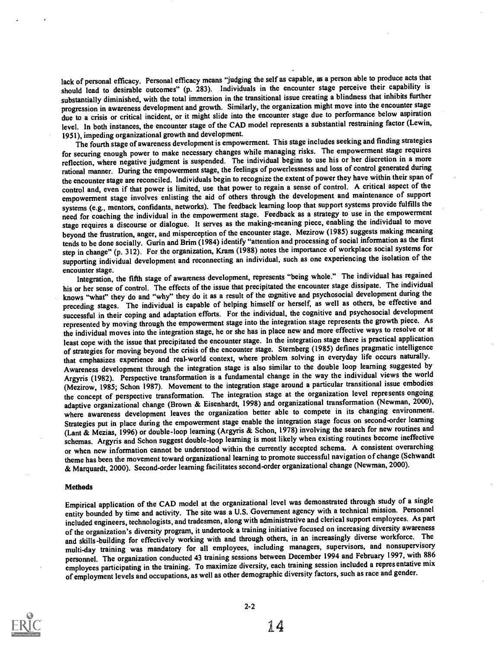lack of personal efficacy. Personal efficacy means "judging the self as capable, as a person able to produce acts that should lead to desirable outcomes" (p. 283). Individuals in the encounter stage perceive their capability is substantially diminished, with the total immersion in the transitional issue creating a blindness that inhibits further progression in awareness development and growth. Similarly, the organization might move into the encounter stage due to a crisis or critical incident, or it might slide into the encounter stage due to performance below aspiration level. In both instances, the encounter stage of the CAD model represents a substantial restraining factor (Lewin, 1951), impeding organizational growth and development.

The fourth stage of awareness development is empowerment. This stage includes seeking and finding strategies for securing enough power to make necessary changes while managing risks. The empowerment stage requires reflection, where negative judgment is suspended. The individual begins to use his or her discretion in a more rational manner. During the empowerment stage, the feelings of powerlessness and loss of control generated during the encounter stage are reconciled. Individuals begin to recognize the extent of power they have within their span of control and, even if that power is limited, use that power to regain a sense of control. A critical aspect of the empowerment stage involves enlisting the aid of others through the development and maintenance of support systems (e.g., mentors, confidants, networks). The feedback learning loop that support systems provide fulfills the need for coaching the individual in the empowerment stage. Feedback as a strategy to use in the empowerment stage requires a discourse or dialogue. It serves as the making-meaning piece, enabling the individual to move beyond the frustration, anger, and misperception of the encounter stage. Mezirow (1985) suggests making meaning tends to be done socially. Gurin and Brim (1984) identify "attention and processing of social information as the first step in change" (p. 312). For the organization, Kram (1988) notes the importance of workplace social systems for supporting individual development and reconnecting an individual, such as one experiencing the isolation of the encounter stage.

Integration, the fifth stage of awareness development, represents "being whole." The individual has regained his or her sense of control. The effects of the issue that precipitated the encounter stage dissipate. The individual knows "what" they do and "why" they do it as a result of the cognitive and psychosocial development during the preceding stages. The individual is capable of helping himself or herself, as well as others, be effective and successful in their coping and adaptation efforts. For the individual, the cognitive and psychosocial development represented by moving through the empowerment stage into the integration stage represents the growth piece. As the individual moves into the integration stage, he or she has in place new and more effective ways to resolve or at least cope with the issue that precipitated the encounter stage. In the integration stage there is practical application of strategies for moving beyond the crisis of the encounter stage. Sternberg (1985) defines pragmatic intelligence that emphasizes experience and real-world context, where problem solving in everyday life occurs naturally. Awareness development through the integration stage is also similar to the double loop learning suggested by Argyris (1982). Perspective transformation is a fundamental change in the way the individual views the world (Mezirow, 1985; Schon 1987). Movement to the integration stage around a particular transitional issue embodies the concept of perspective transformation. The integration stage at the organization level represents ongoing adaptive organizational change (Brown & Eisenhardt, 1998) and organizational transformation (Newman, 2000), where awareness development leaves the organization better able to compete in its changing environment. Strategies put in place during the empowerment stage enable the integration stage focus on second-order learning (Lant & Mezias, 1996) or double-loop learning (Argyris & Schon, 1978) involving the search for new routines and schemas. Argyris and Schon suggest double-loop learning is most likely when existing routines become ineffective or when new information cannot be understood within the currently accepted schema. A consistent overarching theme has been the movement toward organizational learning to promote successful navigation of change (Schwandt & Marquardt, 2000). Second-order learning facilitates second-order organizational change (Newman, 2000).

#### **Methods**

Empirical application of the CAD model at the organizational level was demonstrated through study of a single entity bounded by time and activity. The site was a U.S. Government agency with a technical mission. Personnel included engineers, technologists, and tradesmen, along with administrative and clerical support employees. As part of the organization's diversity program, it undertook a training initiative focused on increasing diversity awareness and skills -building for effectively working with and through others, in an increasingly diverse workforce. The multi-day training was mandatory for all employees, including managers, supervisors, and nonsupervisory personnel. The organization conducted 43 training sessions between December 1994 and February 1997, with 886 employees participating in the training. To maximize diversity, each training session included a representative mix of employment levels and occupations, as well as other demographic diversity factors, such as race and gender.

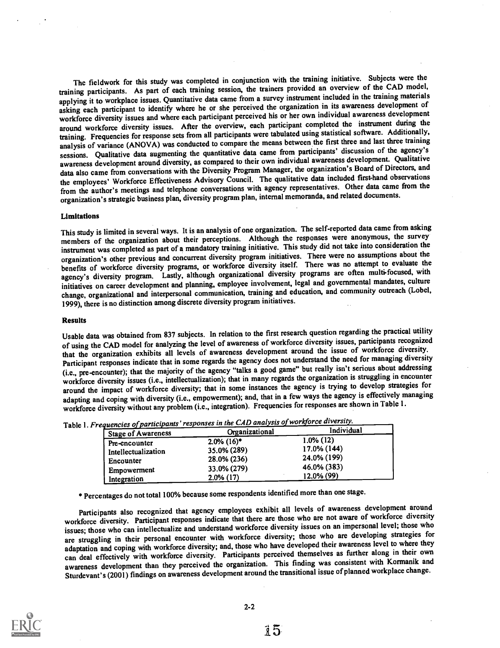The fieldwork for this study was completed in conjunction with the training initiative. Subjects were the training participants. As part of each training session, the trainers provided an overview of the CAD model, applying it to workplace issues. Quantitative data came from a survey instrument included in the training materials asking each participant to identify where he or she perceived the organization in its awareness development of workforce diversity issues and where each participant perceived his or her own individual awareness development around workforce diversity issues. After the overview, each participant completed the instrument during the training. Frequencies for response sets from all participants were tabulated using statistical software. Additionally, analysis of variance (ANOVA) was conducted to compare the means between the first three and last three training sessions. Qualitative data augmenting the quantitative data came from participants' discussion of the agency's awareness development around diversity, as compared to their own individual awareness development. Qualitative data also came from conversations with the Diversity Program Manager, the organization's Board of Directors, and the employees' Workforce Effectiveness Advisory Council. The qualitative data included first-hand observations from the author's meetings and telephone conversations with agency representatives. Other data came from the organization's strategic business plan, diversity program plan, internal memoranda, and related documents.

#### Limitations

This study is limited in several ways. It is an analysis of one organization. The self-reported data came from asking members of the organization about their perceptions. Although the responses were anonymous, the survey instrument was completed as part of a mandatory training initiative. This study did not take into consideration the organization's other previous and concurrent diversity program initiatives. There were no assumptions about the benefits of workforce diversity programs, or workforce diversity itself. There was no attempt to evaluate the agency's diversity program. Lastly, although organizational diversity programs are often multi-focused, with initiatives on career development and planning, employee involvement, legal and governmental mandates, culture change, organizational and interpersonal communication, training and education, and community outreach (Lobel, 1999), there is no distinction among discrete diversity program initiatives.

#### Results

Usable data was obtained from 837 subjects. In relation to the first research question regarding the practical utility of using the CAD model for analyzing the level of awareness of workforce diversity issues, participants recognized that the organization exhibits all levels of awareness development around the issue of workforce diversity. Participant responses indicate that in some regards the agency does not understand the need for managing diversity (i.e., pre-encounter); that the majority of the agency "talks a good game" but really isn't serious about addressing workforce diversity issues (i.e., intellectualization); that in many regards the organization is struggling in encounter around the impact of workforce diversity; that in some instances the agency is trying to develop strategies for adapting and coping with diversity (i.e., empowerment); and, that in a few ways the agency is effectively managing workforce diversity without any problem (i.e., integration). Frequencies for responses are shown in Table 1.

| requencies of participants responses in the entry and parties<br><b>Stage of Awareness</b> | Organizational            | Individual   |
|--------------------------------------------------------------------------------------------|---------------------------|--------------|
| Pre-encounter                                                                              | $2.0\%$ (16) <sup>*</sup> | $1.0\%$ (12) |
| Intellectualization                                                                        | 35.0% (289)               | 17.0% (144)  |
| Encounter                                                                                  | 28.0% (236)               | 24.0% (199)  |
| Empowerment                                                                                | 33.0% (279)               | 46.0% (383)  |
| Integration                                                                                | $2.0\%$ (17)              | 12.0% (99)   |

Table 1. Frequencies of participants' responses in the CAD analysis of workforce diversity.

\* Percentages do not total 100% because some respondents identified more than one stage.

Participants also recognized that agency employees exhibit all levels of awareness development around workforce diversity. Participant responses indicate that there are those who are not aware of workforce diversity issues; those who can intellectualize and understand workforce diversity issues on an impersonal level; those who are struggling in their personal encounter with workforce diversity; those who are developing strategies for adaptation and coping with workforce diversity; and, those who have developed their awareness level to where they can deal effectively with workforce diversity. Participants perceived themselves as further along in their own awareness development than they perceived the organization. This finding was consistent with Kormanik and Sturdevant's (2001) findings on awareness development around the transitional issue of planned workplace change.

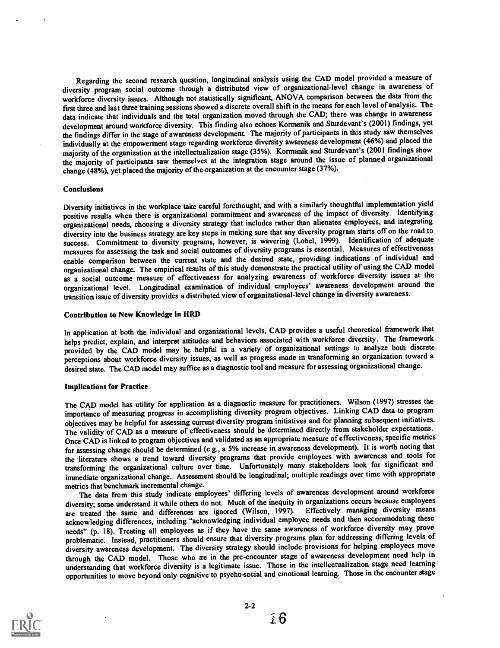Regarding the second research question, longitudinal analysis using the CAD model provided a measure of diversity program social outcome through a distributed view of organizational-level change in awareness of workforce diversity issues. Although not statistically significant, ANOVA comparison between the data from the first three and last three training sessions showed a discrete overall shift in the means for each level of analysis. The data indicate that individuals and the total organization moved through the CAD; there was change in awareness development around workforce diversity. This finding also echoes Kormanik and Sturdevant's (2001) findings, yet the findings differ in the stage of awareness development. The majority of participants in this study saw themselves individually at the empowerment stage regarding workforce diversity awareness development (46%) and placed the majority of the organization at the intellectualization stage (35%). Kormanik and Sturdevant's (2001 findings show the majority of participants saw themselves at the integration stage around the issue of planned organizational change (48%), yet placed the majority of the organization at the encounter stage(37%).

#### Conclusions

Diversity initiatives in the workplace take careful forethought, and with a similarly thoughtful implementation yield positive results when there is organizational commitment and awareness of the impact of diversity. Identifying organizational needs, choosing a diversity strategy that includes rather than alienates employees, and integrating diversity into the business strategy are key steps in making sure that any diversity program starts off on the road to success. Commitment to diversity programs, however, is wavering (Lobel, 1999). Identification of adequate measures for assessing the task and social outcomes of diversity programs is essential. Measures of effectiveness enable comparison between the current state and the desired state, providing indications of individual and organizational change. The empirical results of this study demonstrate the practical utility of using the CAD model as a social outcome measure of effectiveness for analyzing awareness of workforce diversity issues at the organizational level. Longitudinal examination of individual employees' awareness development around the transition issue of diversity provides a distributed view of organizational-level change in diversity awareness.

#### Contribution to New Knowledge in HRD

In application at both the individual and organizational levels, CAD provides a useful theoretical framework that helps predict, explain, and interpret attitudes and behaviors associated with workforce diversity. The framework provided by the CAD model may be helpful in a variety of organizational settings to analyze both discrete perceptions about workforce diversity issues, as well as progress made in transforming an organization toward a desired state. The CAD model may suffice as a diagnostic tool and measure for assessing organizational change.

#### Implications for Practice

The CAD model has utility for application as a diagnostic measure for practitioners. Wilson (1997) stresses the importance of measuring progress in accomplishing diversity program objectives. Linking CAD data to program objectives may be helpful for assessing current diversity program initiatives and for planning subsequent initiatives. The validity of CAD as a measure of effectiveness should be determined directly from stakeholder expectations. Once CAD is linked to program objectives and validated as an appropriate measure of effectiveness, specific metrics for assessing change should be determined (e.g., a 5% increase in awareness development). It is worth noting that the literature shows a trend toward diversity programs that provide employees with awareness and tools for transforming the organizational culture over time. Unfortunately many stakeholders look for significant and immediate organizational change. Assessment should be longitudinal; multiple readings over time with appropriate metrics that benchmark incremental change.

The data from this study indicate employees' differing levels of awareness development around workforce diversity; some understand it while others do not. Much of the inequity in organizations occurs because employees are treated the same and differences are ignored (Wilson, 1997). Effectively managing diversity means acknowledging differences, including "acknowledging individual employee needs and then accommodating these needs" (p. 18). Treating all employees as if they have the same awareness of workforce diversity may prove problematic. Instead, practitioners should ensure that diversity programs plan for addressing differing levels of diversity awareness development. The diversity strategy should include provisions for helping employees move through the CAD model. Those who are in the pre-encounter stage of awareness development need help in understanding that workforce diversity is a legitimate issue. Those in the intellectualization stage need learning opportunities to move beyond only cognitive to psycho-social and emotional learning. Those in the encounter stage



2-2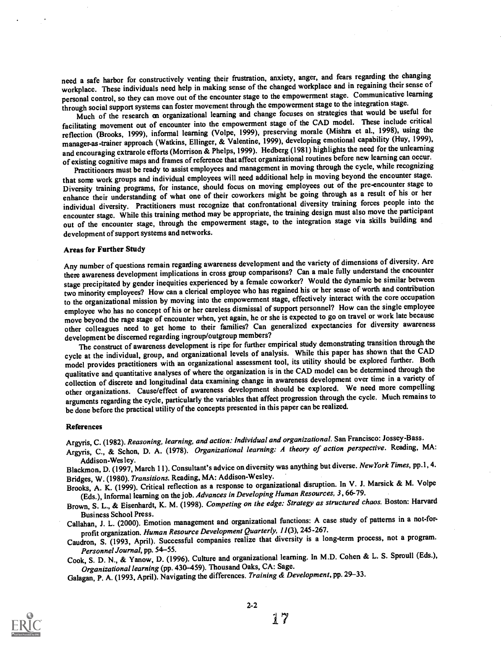need a safe harbor for constructively venting their frustration, anxiety, anger, and fears regarding the changing workplace. These individuals need help in making sense of the changed workplace and in regaining their sense of personal control, so they can move out of the encounter stage to the empowerment stage. Communicative learning through social support systems can foster movement through the empowerment stage to the integration stage.

Much of the research on organizational learning and change focuses on strategies that would be useful for facilitating movement out of encounter into the empowerment stage of the CAD model. These include critical reflection (Brooks, 1999), informal learning (Volpe, 1999), preserving morale (Mishra et al., 1998), using the manager-as-trainer approach (Watkins, Ellinger, & Valentine, 1999), developing emotional capability (Huy, 1999), and encouraging extrarole efforts (Morrison & Phelps, 1999). Hedberg (1981) highlights the need for the unlearning of existing cognitive maps and frames of reference that affect organizational routines before new learning can occur.

Practitioners must be ready to assist employees and management in moving through the cycle, while recognizing that some work groups and individual employees will need additional help in moving beyond the encounter stage. Diversity training programs, for instance, should focus on moving employees out of the pre-encounter stage to enhance their understanding of what one of their coworkers might be going through as a result of his or her individual diversity. Practitioners must recognize that confrontational diversity training forces people into the encounter stage. While this training method may be appropriate, the training design must also move the participant out of the encounter stage, through the empowerment stage, to the integration stage via skills building and development of support systems and networks.

### Areas for Further Study

Any number of questions remain regarding awareness development and the variety of dimensions of diversity. Are there awareness development implications in cross group comparisons? Can a male fully understand the encounter stage precipitated by gender inequities experienced by a female coworker? Would the dynamic be similar between two minority employees? How can a clerical employee who has regained his or her sense of worth and contribution to the organizational mission by moving into the empowerment stage, effectively interact with the core occupation employee who has no concept of his or her careless dismissal of support personnel? How can the single employee move beyond the rage stage of encounter when, yet again, he or she is expected to go on travel or work late because other colleagues need to get home to their families? Can generalized expectancies for diversity awareness development be discerned regarding ingroup/outgroup members?

The construct of awareness development is ripe for further empirical study demonstrating transition through the cycle at the individual, group, and organizational levels of analysis. While this paper has shown that the CAD model provides practitioners with an organizational assessment tool, its utility should be explored further. Both qualitative and quantitative analyses of where the organization is in the CAD model can be determined through the collection of discrete and longitudinal data examining change in awareness development over time in a variety of other organizations. Cause/effect of awareness development should be explored. We need more compelling arguments regarding the cycle, particularly the variables that affect progression through the cycle. Much remains to be done before the practical utility of the concepts presented in this paper can be realized.

#### References

Argyris, C. (1982). Reasoning, learning, and action: Individual and organizational. San Francisco: Jossey-Bass.

Argyris, C., & Schon, D. A. (1978). Organizational learning: A theory of action perspective. Reading, MA:

Addison-Wes ley.<br>Blackmon, D. (1997, March 11). Consultant's advice on diversity was anything but diverse. New York Times, pp.1, 4. Bridges, W. (1980). Transitions. Reading, MA: Addison-Wesley.

Brooks, A. K. (1999). Critical reflection as a response to organizational disruption. In V. J. Marsick & M. Volpe (Eds.), Informal learning on the job. Advances in Developing Human Resources, 3,66-79.

Brown, S. L., & Eisenhardt, K. M. (1998). Competing on the edge: Strategy as structured chaos. Boston: Harvard

Business School Press. Callahan, J. L. (2000). Emotion management and organizational functions: A case study of patterns in a not-forprofit organization. Human Resource Development Quarterly, 11(3), 245-267.

Caudron, S. (1993, April). Successful companies realize that diversity is a long-term process, not a program. Personnel Journal, pp. 54-55.

Cook, S. D. N., & Yanow, D. (1996). Culture and organizational learning. In M.D. Cohen & L. S. Sproull (Eds.), Organizational learning (pp. 430-459). Thousand Oaks, CA: Sage.

Galagan, P. A. (1993, April). Navigating the differences. Training & Development, pp. 29-33.

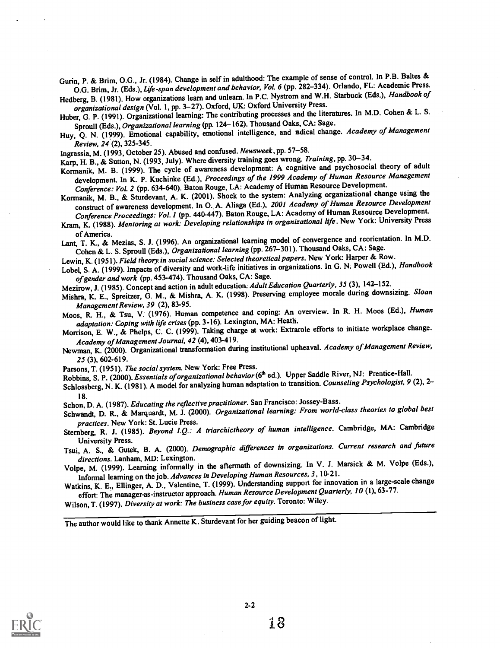Gurin, P. & Brim, 0.0., Jr. (1984). Change in self in adulthood: The example of sense of control. In P.B. Baltes & O.G. Brim, Jr. (Eds.), Life-span development and behavior, Vol. 6 (pp. 282-334). Orlando, FL: Academic Press.

Hedberg, B. (1981). How organizations learn and unlearn. In P.C. Nystrom and W.H. Starbuck (Eds.), Handbook of organizational design (Vol. 1, pp. 3-27). Oxford, UK: Oxford University Press.

Huber, G. P. (1991). Organizational learning: The contributing processes and the literatures. In M.D. Cohen & L. S. Sproull (Eds.), Organizational learning (pp. 124-162). Thousand Oaks, CA: Sage.

Huy, Q. N. (1999). Emotional capability, emotional intelligence, and nadical change. Academy of Management Review, 24 (2), 325-345.

Ingrassia, M. (1993, October 25). Abused and confused. Newsweek, pp. 57-58.

Karp, H. B., & Sutton, N. (1993, July). Where diversity training goes wrong. Training, pp. 30-34.

Kormanik, M. B. (1999). The cycle of awareness development: A cognitive and psychosocial theory of adult development. In K. P. Kuchinke (Ed.), Proceedings of the 1999 Academy of Human Resource Management Conference: Vol. 2 (pp. 634-640). Baton Rouge, LA: Academy of Human Resource Development.

Kormanik, M. B., & Sturdevant, A. K. (2001). Shock to the system: Analyzing organizational change using the construct of awareness development. In O. A. Aliaga (Ed.), 2001 Academy of Human Resource Development

Conference Proceedings: Vol. 1 (pp. 440-447). Baton Rouge, LA: Academy of Human Resource Development. Kram, K. (1988). Mentoring at work: Developing relationships in organizational life. New York: University Press of America.

of America. Lant, T. K., & Mezias, S. J. (1996). An organizational learning model of convergence and reorientation. In M.D. Cohen & L. S. Sproull (Eds.), Organizational learning (pp. 267-301). Thousand Oaks, CA: Sage.

Lewin, K. (1951). Field theory in social science: Selected theoretical papers. New York: Harper & Row.

Lobel, S. A. (1999). Impacts of diversity and work-life initiatives in organizations. In G. N. Powell (Ed.), Handbook of gender and work (pp. 453-474). Thousand Oaks, CA: Sage.

Mezirow, J. (1985). Concept and action in adult education. Adult Education Quarterly, 35 (3), 142-152.

Mishra, K. E., Spreitzer, G. M., & Mishra, A. K. (1998). Preserving employee morale during downsizing. Sloan Management Review, 39 (2), 83-95.

Moos, R. H., & Tsu, V. (1976). Human competence and coping: An overview. In R. H. Moos (Ed.), Human adaptation: Coping with life crises (pp. 3-16). Lexington, MA: Heath.

Morrison, E. W., & Phelps, C. C. (1999). Taking charge at work: Extrarole efforts to initiate workplace change. Academy of Management Journal, 42 (4), 403-419.

Newman, K. (2000). Organizational transformation during institutional upheaval. Academy of Management Review, 25 (3), 602-619.

Parsons, T. (1951). The social system. New York: Free Press.

Robbins, S. P. (2000). Essentials of organizational behavior (6<sup>th</sup> ed.). Upper Saddle River, NJ: Prentice-Hall.

Schlossberg, N. K. (1981). A model for analyzing human adaptation to transition. Counseling Psychologist, 9 (2), 2-

18. Schon, D. A. (1987). Educating the reflective practitioner. San Francisco: Jossey-Bass.

Schwandt, D. R., & Marquardt, M. J. (2000). Organizational learning: From world-class theories to global best practices. New York: St. Lucie Press.

Sternberg, R. J. (1985). Beyond I.Q.: A triarchictheory of human intelligence. Cambridge, MA: Cambridge

University Press. Tsui, A. S., & Gutek, B. A. (2000). Demographic differences in organizations. Current research and future directions. Lanham, MD: Lexington.

Volpe, M. (1999). Learning informally in the aftermath of downsizing. In V. J. Marsick & M. Volpe (Eds.), Informal learning on the job. Advances in Developing Human Resources, 3, 10-21.

Watkins, K. E., Ellinger, A. D., Valentine, T. (1999). Understanding support for innovation in a large-scale change effort: The manager-as-instructor approach. Human Resource Development Quarterly, 10 (1), 63-77.

Wilson, T. (1997). Diversity at work: The business case for equity. Toronto: Wiley.

The author would like to thank Annette K. Sturdevant for her guiding beacon of light.

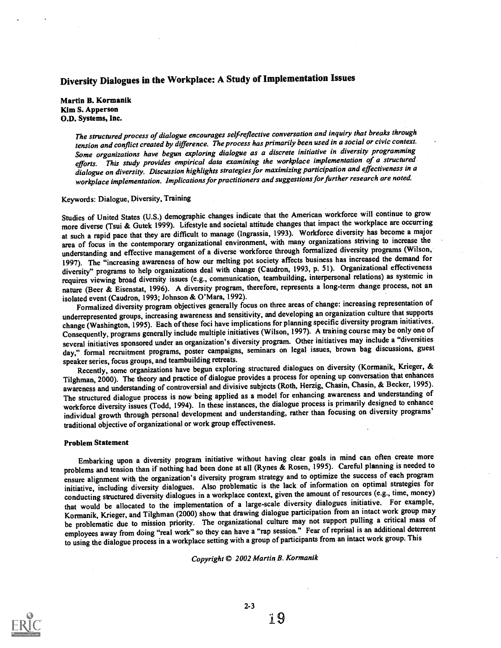# Diversity Dialogues in the Workplace: A Study of Implementation Issues

Martin B. Kormanik Kim S. Apperson O.D. Systems, Inc.

> The structured process of dialogue encourages self-reflective conversation and inquiry that breaks through tension and conflict created by difference. The process has primarily been used in a social or civic context. Some organizations have begun exploring dialogue as a discrete initiative in diversity programming efforts. This study provides empirical data examining the workplace implementation of a structured  $\tilde{d}$ ialogue on diversity. Discussion highlights strategies for maximizing participation and effectiveness in a workplace implementation. Implications for practitioners and suggestions for further research are noted.

#### Keywords: Dialogue, Diversity, Training

Studies of United States (U.S.) demographic changes indicate that the American workforce will continue to grow more diverse (Tsui & Gutek 1999). Lifestyle and societal attitude changes that impact the workplace are occurring at such a rapid pace that they are difficult to manage (Ingrassia, 1993). Workforce diversity has become a major area of focus in the contemporary organizational environment, with many organizations striving to increase the understanding and effective management of a diverse workforce through formalized diversity programs (Wilson, 1997). The "increasing awareness of how our melting pot society affects business has increased the demand for diversity" programs to help organizations deal with change (Caudron, 1993, p. 51). Organizational effectiveness requires viewing broad diversity issues (e.g., communication, teambuilding, interpersonal relations) as systemic in nature (Beer & Eisenstat, 1996). A diversity program, therefore, represents a long-term change process, not an isolated event (Caudron, 1993; Johnson & O'Mara, 1992).

Formalized diversity program objectives generally focus on three areas of change: increasing representation of underrepresented groups, increasing awareness and sensitivity, and developing an organization culture that supports change (Washington, 1995). Each of these foci have implications for planning specific diversity program initiatives. Consequently, programs generally include multiple initiatives (Wilson, 1997). A training course may be only one of several initiatives sponsored under an organization's diversity program. Other initiatives may include a "diversities day," formal recruitment programs, poster campaigns, seminars on legal issues, brown bag discussions, guest speaker series, focus groups, and teambuilding retreats.

Recently, some organizations have begun exploring structured dialogues on diversity (Kormanik, Krieger, & Tilghman, 2000). The theory and practice of dialogue provides a process for opening up conversation that enhances awareness and understanding of controversial and divisive subjects (Roth, Herzig, Chasin, Chasin, & Becker, 1995). The structured dialogue process is now being applied as a model for enhancing awareness and understanding of workforce diversity issues (Todd, 1994). In these instances, the dialogue process is primarily designed to enhance individual growth through personal development and understanding, rather than focusing on diversity programs' traditional objective of organizational or work group effectiveness.

#### Problem Statement

Embarking upon a diversity program initiative without having clear goals in mind can often create more problems and tension than if nothing had been done at all (Rynes & Rosen, 1995). Careful planning is needed to ensure alignment with the organization's diversity program strategy and to optimize the success of each program initiative, including diversity dialogues. Also problematic is the lack of information on optimal strategies for conducting structured diversity dialogues in a workplace context, given the amount of resources (e.g., time, money) that would be allocated to the implementation of a large-scale diversity dialogues initiative. For example, Kormanik, Krieger, and Tilghman (2000) show that drawing dialogue participation from an intact work group may be problematic due to mission priority. The organizational culture may not support pulling a critical mass of employees away from doing "real work" so they can have a "rap session." Fear of reprisal is an additional deterrent to using the dialogue process in a workplace setting with a group of participants from an intact work group. This

#### Copyright © 2002 Martin B. Kormanik



2-3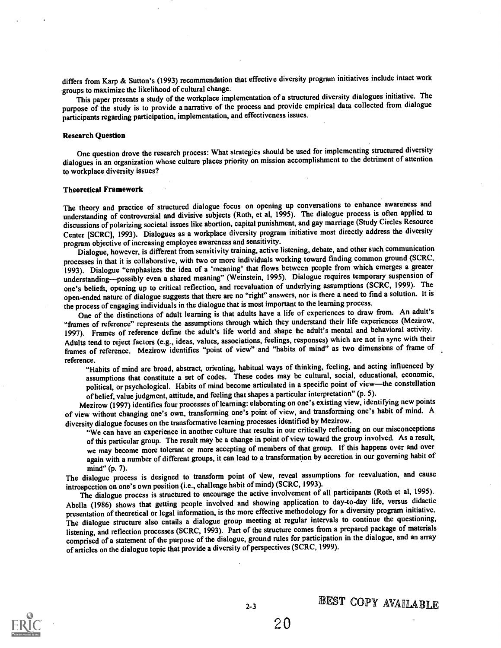differs from Karp & Sutton's (1993) recommendation that effective diversity program initiatives include intact work groups to maximize the likelihood of cultural change.

This paper presents a study of the workplace implementation of a structured diversity dialogues initiative. The purpose of the study is to provide a narrative of the process and provide empirical data collected from dialogue participants regarding participation, implementation, and effectiveness issues.

#### Research Question

One question drove the research process: What strategies should be used for implementing structured diversity dialogues in an organization whose culture places priority on mission accomplishment to the detriment of attention to workplace diversity issues?

#### Theoretical Framework

The theory and practice of structured dialogue focus on opening up conversations to enhance awareness and understanding of controversial and divisive subjects (Roth, et al, 1995). The dialogue process is often applied to discussions of polarizing societal issues like abortion, capital punishment, and gay marriage (Study Circles Resource Center [SCRCI, 1993). Dialogues as a workplace diversity program initiative most directly address the diversity program objective of increasing employee awareness and sensitivity.

Dialogue, however, is different from sensitivity training, active listening, debate, and other such communication processes in that it is collaborative, with two or more individuals working toward finding common ground (SCRC, 1993). Dialogue "emphasizes the idea of a 'meaning' that flows between people from which emerges a greater understanding-possibly even a shared meaning" (Weinstein, 1995). Dialogue requires temporary suspension of one's beliefs, opening up to critical reflection, and reevaluation of underlying assumptions (SCRC, 1999). The open-ended nature of dialogue suggests that there are no "right" answers, nor is there a need to find a solution. It is the process of engaging individuals in the dialogue that is most important to the learning process.

One of the distinctions of adult learning is that adults have a life of experiences to draw from. An adult's "frames of reference" represents the assumptions through which they understand their life experiences (Mezirow, 1997). Frames of reference define the adult's life world and shape he adult's mental and behavioral activity. Adults tend to reject factors (e.g., ideas, values, associations, feelings, responses) which are not in sync with their frames of reference. Mezirow identifies "point of view" and "habits of mind" as two dimensims of frame of reference.

"Habits of mind are broad, abstract, orienting, habitual ways of thinking, feeling, and acting influenced by assumptions that constitute a set of codes. These codes may be cultural, social, educational, economic, political, or psychological. Habits of mind become articulated in a specific point of view-the constellation of belief, value judgment, attitude, and feeling that shapes a particular interpretation" (p. 5).

Mezirow (1997) identifies four processes of learning: elaborating onone's existing view, identifying new points of view without changing one's own, transforming one's point of view, and transforming one's habit of mind. A diversity dialogue focuses on the transformative learning processes identified by Mezirow.

"We can have an experience in another culture that results in our critically reflecting on our misconceptions of this particular group. The result may be a change in point of view toward the group involved. As a result, we may become more tolerant or more accepting of members of that group. If this happens over and over again with a number of different groups, it can lead to a transformation by accretion in our governing habit of mind" (p. 7).

The dialogue process is designed to transform point of view, reveal assumptions for reevaluation, and cause introspection on one's own position (i.e., challenge habit of mind) (SCRC, 1993).

The dialogue process is structured to encourage the active involvement of all participants (Roth et al, 1995). Abella (1986) shows that getting people involved and showing application to day-to-day life, versus didactic presentation of theoretical or legal information, is the more effective methodology for a diversity program initiative. The dialogue structure also entails a dialogue group meeting at regular intervals to continue the questioning, listening, and reflection processes (SCRC, 1993). Part of the structure comes from a prepared package of materials comprised of a statement of the purpose of the dialogue, ground rules for participation in the dialogue, and an array of articles on the dialogue topic that provide a diversity of perspectives (SCRC, 1999).

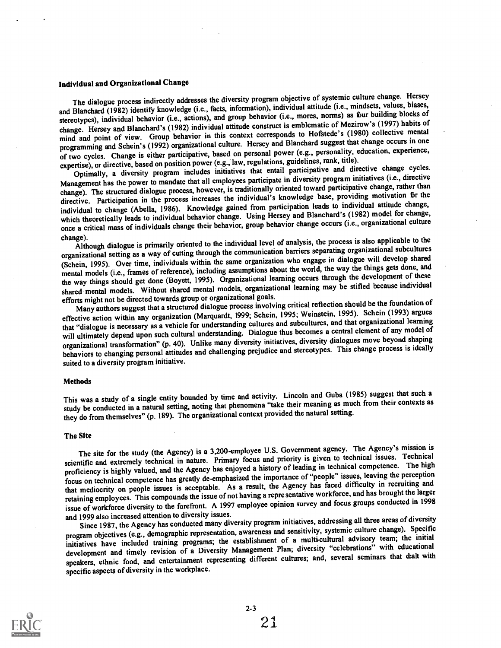### Individual and Organizational Change

The dialogue process indirectly addresses the diversity program objective of systemic culture change. Hersey and Blanchard (1982) identify knowledge (i.e., facts, information), individual attitude (i.e., mindsets, values, biases, stereotypes), individual behavior (i.e., actions), and group behavior (i.e., mores, norms) as bur building blocks of change. Hersey and Blanchard's (1982) individual attitude construct is emblematic of Mezirow's (1997) habits of mind and point of view. Group behavior in this context corresponds to Hofstede's (1980) collective mental programming and Schein's (1992) organizational culture. Hersey and Blanchard suggest that change occurs in one of two cycles. Change is either participative, based on personal power (e.g., personality, education, experience, expertise), or directive, based on position power (e.g., law, regulations, guidelines, rank, title).

Optimally, a diversity program includes initiatives that entail participative and directive change cycles. Management has the power to mandate that all employees participate in diversity program initiatives (i.e., directive change). The structured dialogue process, however, is traditionally oriented toward participative change, rather than directive. Participation in the process increases the individual's knowledge base, providing motivation Sr the individual to change (Abella, 1986). Knowledge gained from participation leads to individual attitude change, which theoretically leads to individual behavior change. Using Hersey and Blanchard's (1982) model for change, once a critical mass of individuals change their behavior, group behavior change occurs (i.e., organizational culture

change). Although dialogue is primarily oriented to the individual level of analysis, the process is also applicable to the organizational setting as a way of cutting through the communication barriers separating organizational subcultures (Schein, 1995). Over time, individuals within the same organization who engage in dialogue will develop shared mental models (i.e., frames of reference), including assumptions about the world, the way the things gets done, and the way things should get done (Boyett, 1995). Organizational learning occurs through the development of these shared mental models. Without shared mental models, organizational learning may be stifled because individual efforts might not be directed towards group or organizational goals.

Many authors suggest that a structured dialogue process involving critical reflection should be the foundation of effective action within any organization (Marquardt, 1999; Schein, 1995; Weinstein, 1995). Schein (1993) argues that "dialogue is necessary as a vehicle for understanding cultures and subcultures, and that organizational learning will ultimately depend upon such cultural understanding. Dialogue thus becomes a central element of any model of organizational transformation" (p. 40). Unlike many diversity initiatives, diversity dialogues move beyond shaping behaviors to changing personal attitudes and challenging prejudice and stereotypes. This change process is ideally suited to a diversity program initiative.

#### **Methods**

This was a study of a single entity bounded by time and activity. Lincoln and Guba (1985) suggest that such a study be conducted in a natural setting, noting that phenomena "take their meaning as much from their contexts as they do from themselves" (p. 189). The organizational context provided the natural setting.

#### The Site

The site for the study (the Agency) is a 3,200-employee U.S. Government agency. The Agency's mission is scientific and extremely technical in nature. Primary focus and priority is given to technical issues. Technical proficiency is highly valued, and the Agency has enjoyed a history of leading in technical competence. The high focus on technical competence has greatly de-emphasized the importance of "people" issues, leaving the perception that mediocrity on people issues is acceptable. As a result, the Agency has faced difficulty in recruiting and retaining employees. This compounds the issue of not having a representative workforce, and has brought the larger issue of workforce diversity to the forefront. A 1997 employee opinion survey and focus groups conducted in 1998 and 1999 also increased attention to diversity issues.

Since 1987, the Agency has conducted many diversity program initiatives, addressing all three areas of diversity program objectives (e.g., demographic representation, awareness and sensitivity, systemic culture change). Specific initiatives have included training programs; the establishment of a multi-cultural advisory team; the initial development and timely revision of a Diversity Management Plan; diversity "celebrations" with educational speakers, ethnic food, and entertainment representing different cultures; and, several seminars that dealt with specific aspects of diversity in the workplace.

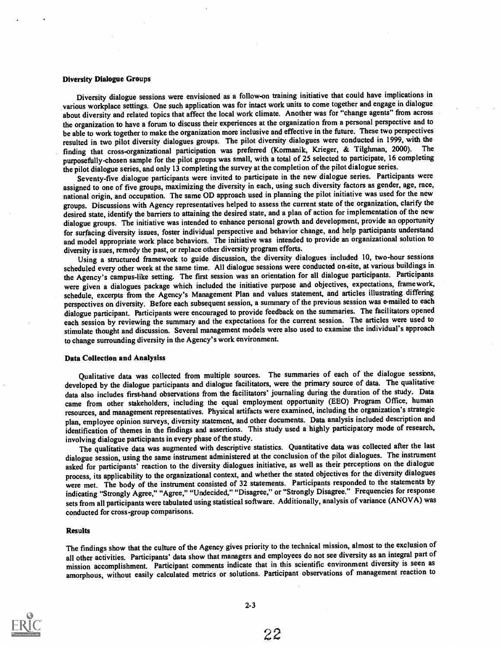#### Diversity Dialogue Groups

Diversity dialogue sessions were envisioned as a follow-on training initiative that could have implications in various workplace settings. One such application was for intact work units to come together and engage in dialogue about diversity and related topics that affect the local work climate. Another was for "change agents" from across the organization to have a forum to discuss their experiences at the organization from a personal perspective and to be able to work together to make the organization more inclusive and effective in the future. These two perspectives resulted in two pilot diversity dialogues groups. The pilot diversity dialogues were conducted in 1999, with the finding that cross-organizational participation was preferred (Kormanik, Krieger, & Tilghman, 2000). The purposefully-chosen sample for the pilot groups was small, with a total of 25 selected to participate, 16 completing the pilot dialogue series, and only 13 completing the survey at the completion of the pilot dialogue series.

Seventy-five dialogue participants were invited to participate in the new dialogue series. Participants were assigned to one of five groups, maximizing the diversity in each, using such diversity factors as gender, age, race, national origin, and occupation. The same OD approach used in planning the pilot initiative was used for the new groups. Discussions with Agency representatives helped to assess the current state of the organization, clarify the desired state, identify the barriers to attaining the desired state, and a plan of action for implementation of the new dialogue groups. The initiative was intended to enhance personal growth and development, provide an opportunity for surfacing diversity issues, foster individual perspective and behavior change, and help participants understand and model appropriate work place behaviors. The initiative was intended to provide an organizational solution to diversity is sues, remedy the past, or replace other diversity program efforts.

Using a structured framework to guide discussion, the diversity dialogues included 10, two-hour sessions scheduled every other week at the same time. All dialogue sessions were conducted on-site, at various buildings in the Agency's campus-like setting. The first session was an orientation for all dialogue participants. Participants were given a dialogues package which included the initiative purpose and objectives, expectations, framework, schedule, excerpts from the Agency's Management Plan and values statement, and articles illustrating differing perspectives on diversity. Before each subsequent session, a summary of the previous session was e-mailed to each dialogue participant. Participants were encouraged to provide feedback on the summaries. The facilitators opened each session by reviewing the summary and the expectations for the current session. The articles were used to stimulate thought and discussion. Several management models were also used to examine the individual's approach to change surrounding diversity in the Agency's work environment.

#### Data Collection and Analysiss

Qualitative data was collected from multiple sources. The summaries of each of the dialogue sessions, developed by the dialogue participants and dialogue facilitators, were the primary source of data. The qualitative data also includes first-hand observations from the facilitators' journaling during the duration of the study. Data came from other stakeholders, including the equal employment opportunity (EEO) Program Office, human resources, and management representatives. Physical artifacts were examined, including the organization's strategic plan, employee opinion surveys, diversity statement, and other documents. Data analysis included description and identification of themes in the findings and assertions. This study used a highly participatory mode of research, involving dialogue participants in every phase of the study.

The qualitative data was augmented with descriptive statistics. Quantitative data was collected after the last dialogue session, using the same instrument administered at the conclusion of the pilot dialogues. The instrument asked for participants' reaction to the diversity dialogues initiative, as well as their perceptions on the dialogue process, its applicability to the organizational context, and whether the stated objectives for the diversity dialogues were met. The body of the instrument consisted of 32 statements. Participants responded to the statements by indicating "Strongly Agree," "Agree," "Undecided," "Disagree," or "Strongly Disagree." Frequencies for response sets from all participants were tabulated using statistical software. Additionally, analysis of variance (ANOVA) was conducted for cross-group comparisons.

#### Results

The findings show that the culture of the Agency gives priority to the technical mission, almost to the exclusion of all other activities. Participants' data show that managers and employees do not see diversity as an integral part of mission accomplishment. Participant comments indicate that in this scientific environment diversity is seen as amorphous, without easily calculated metrics or solutions. Participant observations of management reaction to

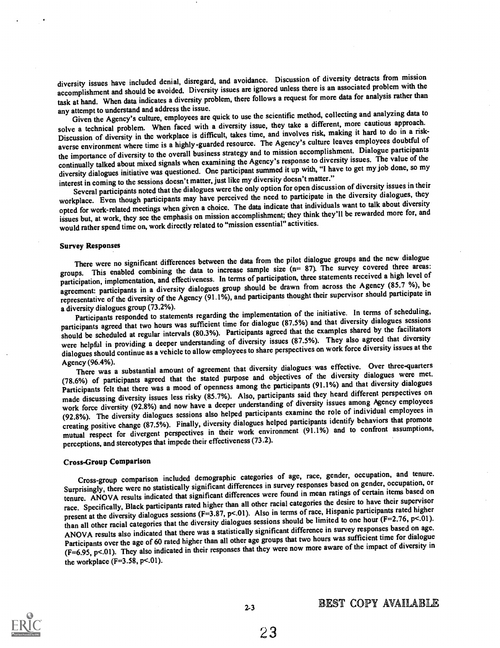diversity issues have included denial, disregard, and avoidance. Discussion of diversity detracts from mission accomplishment and should be avoided. Diversity issues are ignored unless there is an associated problem with the task at hand. When data indicates a diversity problem, there follows a request for more data for analysis rather than any attempt to understand and address the issue.

Given the Agency's culture, employees are quick to use the scientific method, collecting and analyzing data to solve a technical problem. When faced with a diversity issue, they take a different, more cautious approach. Discussion of diversity in the workplace is difficult, takes time, and involves risk, making it hard to do in a riskaverse environment where time is a highly-guarded resource. The Agency's culture leaves employees doubtful of the importance of diversity to the overall business strategy and to mission accomplishment. Dialogue participants continually talked about mixed signals when examining the Agency's response to diversity issues. The value of the diversity dialogues initiative was questioned. One participant summed it up with, "I have to get my job done, so my interest in coming to the sessions doesn't matter, just like my diversity doesn't matter."

Several participants noted that the dialogues were the only option for open discussion of diversity issues in their workplace. Even though participants may have perceived the need to participate in the diversity dialogues, they opted for work-related meetings when given a choice. The data indicate that individuals want to talk about diversity issues but, at work, they see the emphasis on mission accomplishment; they think they'll be rewarded more for, and would rather spend time on, work directly related to "mission essential" activities.

#### Survey Responses

There were no significant differences between the data from the pilot dialogue groups and the new dialogue groups. This enabled combining the data to increase sample size  $(n= 87)$ . The survey covered three areas: participation, implementation, and effectiveness. In terms of participation, three statements received a high level of agreement: participants in a diversity dialogues group should be drawn from across the Agency (85.7 %), be representative of the diversity of the Agency (91.1%), and participants thought their supervisor should participate in a diversity dialogues group (73.2%).

Participants responded to statements regarding the implementation of the initiative. In terms of scheduling, participants agreed that two hours was sufficient time for dialogue (87.5%) and that diversity dialogues sessions should be scheduled at regular intervals (80.3%). Participants agreed that the examples shared by the facilitators were helpful in providing a deeper understanding of diversity issues (87.5%). They also agreed that diversity dialogues should continue as a vehicle to allow employees to share perspectives on work force diversity issues at the

Agency (96.4%). There was a substantial amount of agreement that diversity dialogues was effective. Over three-quarters (78.6%) of participants agreed that the stated purpose and objectives of the diversity dialogues were met. Participants felt that there was a mood of openness among the participants (91.1%) and that diversity dialogues made discussing diversity issues less risky (85.7%). Also, participants said they heard different perspectives on work force diversity (92.8%) and now have a deeper understanding of diversity issues among Agency employees (92.8%). The diversity dialogues sessions also helped participants examine the role of individual employees in creating positive change (87.5%). Finally, diversity dialogues helped participants identify behaviors that promote mutual respect for divergent perspectives in their work environment (91.1%) and to confront assumptions, perceptions, and stereotypes that impede their effectiveness (73.2).

#### Cross-Group Comparison

Cross-group comparison included demographic categories of age, race, gender, occupation, and tenure. Surprisingly, there were no statistically significant differences in survey responses based on gender, occupation, or tenure. ANOVA results indicated that significant differences were found in mean ratings of certain items based on race. Specifically, Black participants rated higher than all other racial categories the desire to have their supervisor present at the diversity dialogues sessions (F=3.87, p<.01). Also in terms of race, Hispanic participants rated higher than all other racial categories that the diversity dialogues sessions should be limited to one hour  $(F=2.76, p<0.01)$ . ANOVA results also indicated that there was a statistically significant difference in survey responses based on age. Participants over the age of 60 rated higher than all other age groups that two hours was sufficient time for dialogue (F=6.95, p<.01). They also indicated in their responses that they were now more aware of the impact of diversity in the workplace  $(F=3.58, p<.01)$ .

2-3

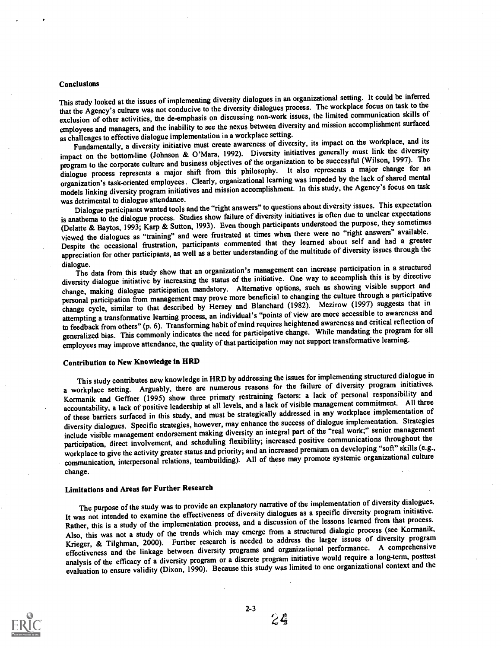#### Conclusions

This study looked at the issues of implementing diversity dialogues in an organizational setting. It could be inferred that the Agency's culture was not conducive to the diversity dialogues process. The workplace focus on task to the exclusion of other activities, the de-emphasis on discussing non-work issues, the limited communication skills of employees and managers, and the inability to see the nexus between diversity and mission accomplishment surfaced as challenges to effective dialogue implementation in a workplace setting.

Fundamentally, a diversity initiative must create awareness of diversity, its impact on the workplace, and its impact on the bottomline (Johnson & O'Mara, 1992). Diversity initiatives generally must link the diversity program to the corporate culture and business objectives of the organization to be successful (Wilson, 1997). The dialogue process represents a major shift from this philosophy. It also represents a major change for an organization's task-oriented employees. Clearly, organizational learning was impeded by the lack ofshared mental models linking diversity program initiatives and mission accomplishment. In this study, the Agency's focus on task<br>was detrimental to dialogue attendance.

was detrimental to dialogue attendance. Dialogue participants wanted tools and the "right answers" to questions about diversity issues. This expectation is anathema to the dialogue process. Studies show failure of diversity initiatives is often due to unclear expectations (Delatte & Baytos, 1993; Karp & Sutton, 1993). Even though participants understood the purpose, they sometimes viewed the dialogues as "training" and were frustrated at times when there were no "right answers" available. Despite the occasional frustration, participants commented that they learned about self and had a greater appreciation for other participants, as well as a better understanding of the multitude of diversity issues through the

dialogue. The data from this study show that an organization's management can increase participation in a structured diversity dialogue initiative by increasing the status of the initiative. One way to accomplish this is by directive change, making dialogue participation mandatory. Alternative options, such as showing visible support and personal participation from management may prove more beneficial to changing the culture through a participative change cycle, similar to that described by Hersey and Blanchard (1982). Mezirow (1997) suggests that in attempting a transformative learning process, an individual's "points of view are more accessible to awareness and to feedback from others" (p. 6). Transforming habit of mind requires heightened awareness and critical reflection of generalized bias. This commonly indicates the need for participative change. While mandating the program for all employees may improve attendance, the quality of that participation may not support transformative learning.

# Contribution to New Knowledge in HRD

This study contributes new knowledge in HRD by addressing the issues for implementing structured dialogue in a workplace setting. Arguably, there are numerous reasons for the failure of diversity program initiatives. Kormanik and Geffner (1995) show three primary restraining factors: a lack of personal responsibility and accountability, a lack of positive leadership at all levels, and a lack of visible management commitment. All three of these barriers surfaced in this study, and must be strategically addressed in any workplace implementation of diversity dialogues. Specific strategies, however, may enhance the success of dialogue implementation. Strategies include visible management endorsement making diversity an integral part of the "real work;" senior management participation, direct involvement, and scheduling flexibility; increased positive communications throughout the workplace to give the activity greater status and priority; and an increased premium on developing "soft" skills (e.g., communication, interpersonal relations, teambuilding). All of these may promote systemic organizational culture change.

### Limitations and Areas for Further Research

The purpose of the study was to provide an explanatory narrative of the implementation of diversity dialogues. It was not intended to examine the effectiveness of diversity dialogues as a specific diversity program initiative. Rather, this is a study of the implementation process, and a discussion of the lessons learned from that process. Also, this was not a study of the trends which may emerge from a structured dialogic process (see Kormanik, Krieger, & Tilghman, 2000). Further research is needed to address the larger issues of diversity program effectiveness and the linkage between diversity programs and organizational performance. A comprehensive analysis of the efficacy of a diversity program or a discrete program initiative would require a long-term, posttest evaluation to ensure validity (Dixon, 1990). Because this study was limited to one organizational context and the



 $2 - 3$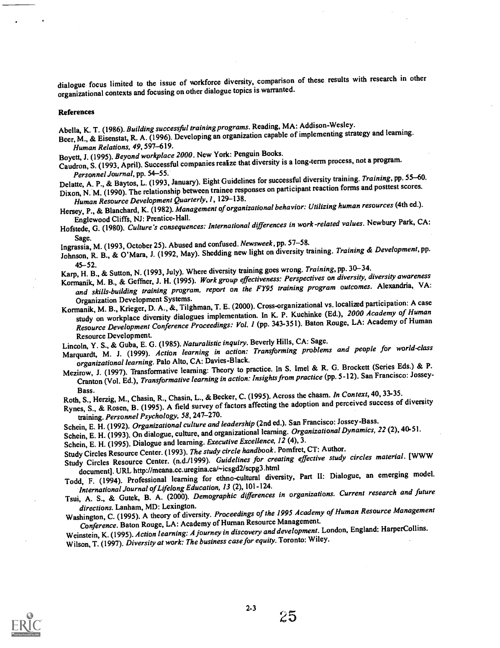dialogue focus limited to the issue of workforce diversity, comparison of these results with research in other organizational contexts and focusing on otherdialogue topics is warranted.

#### References

Abella, K. T. (1986). Building successful training programs. Reading, MA: Addison-Wesley.

Beer, M., & Eisenstat, R. A. (1996). Developing an organization capable of implementing strategy and learning. Human Relations, 49, 597-619.

Boyett, J. (1995). Beyond workplace 2000. New York: Penguin Books.

Caudron, S. (1993, April). Successful companies realize that diversity is a long-term process, not a program.<br>Personnel Journal, pp. 54–55.

Personnel Journal, pp. 54–55.<br>Delatte, A. P., & Baytos, L. (1993, January). Eight Guidelines for successful diversity training. Training, pp. 55–60. Dixon, N. M. (1990). The relationship between trainee responses on participant reaction forms and posttest scores.

Human Resource Development Quarterly, 1, 129-138.

Hersey, P., & Blanchard, K. (1982). Management of organizational behavior: Utilizing human resources (4th ed.).<br>Englewood Cliffs, NJ: Prentice-Hall.

Englewood Cliffs, NJ: Prentice-Hall. Hofstede, G. (1980). Culture's consequences: International differences in work-related values. Newbury Park, CA:

Sage. Ingrassia, M. (1993, October 25). Abused and confused. Newsweek, pp. 57-58.

Johnson, R. B., & O'Mara, J. (1992, May). Shedding new light on diversity training. Training & Development, pp.

45-52. Karp, H. B., & Sutton, N. (1993, July). Where diversity training goes wrong. Training, pp. 30-34.

Kormanik, M. B., & Geffner, J. H. (1995). Work group effectiveness: Perspectives on diversity, diversity awareness and skills-building training program, report on the FY95 training program outcomes. Alexandria, VA:<br>Organization Development Systems.

Organization Development Systems.<br>Kormanik, M. B., Krieger, D. A., &, Tilghman, T. E. (2000). Cross-organizational vs. localized participation: A case study on workplace diversity dialogues implementation. In K. P. Kuchinke (Ed.), 2000 Academy of Human Resource Development Conference Proceedings: Vol. 1 (pp. 343-351). Baton Rouge, LA: Academy of Human Resource Development.

Lincoln, Y. S., & Guba, E. G. (1985). Naturalistic inquiry. Beverly Hills, CA: Sage.

Marquardt, M. J. (1999). Action learning in action: Transforming problems and people for world-class organizational learning. Palo Alto, CA: Davies-Black.

Mezirow, J. (1997). Transformative learning: Theory to practice. In S. Imel & R. G. Brockett (Series Eds.) & P. Cranton (Vol. Ed.), Transformative learning in action: Insights from practice (pp. 5-12). San Francisco: Jossey-

Bass.<br>Roth, S., Herzig, M., Chasin, R., Chasin, L., & Becker, C. (1995). Across the chasm. In Context, 40, 33-35.

Rynes, S., & Rosen, B. (1995). A field survey of factors affecting the adoption and perceived success of diversity training. Personnel Psychology, 58, 247-270.

Schein, E. H. (1992). Organizational culture and leadership (2nd ed.). San Francisco: Jossey-Bass.

Schein, E. H. (1993). On dialogue, culture, and organizational learning. Organizational Dynamics, 22 (2), 40-51.

Schein, E. H. (1995). Dialogue and learning. Executive Excellence, 12 (4), 3.

Study Circles Resource Center. (1993). The study circle handbook. Pomfret, CT: Author.

Study Circles Resource Center. (n.d./1999). Guidelines for creating effective study circles material. [WWW document]. URL http://meana.cc.uregina.ca/-icsgd2/scpg3.html

Todd, F. (1994). Professional learning for ethno-cultural diversity, Part II: Dialogue, an emerging model. International Journal of Lifelong Education, 13 (2), 101-124.

Tsui, A. S., & Gutek, B. A. (2000). Demographic differences in organizations. Current research and future directions. Lanham, MD: Lexington.

directions. Lanham, MD: Lexington.<br>Washington, C. (1995). A theory of diversity. Proceedings of the 1995 Academy of Human Resource Management Conference. Baton Rouge, LA: Academy of Human Resource Management.

Weinstein, K. (1995). Action learning: A journey in discovery and development. London, England: HarperCollins. Wilson, T. (1997). Diversity at work: The business case for equity. Toronto: Wiley.

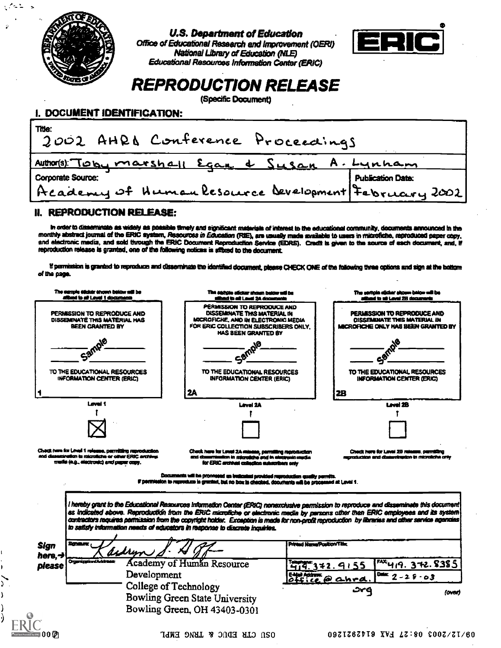

 $\mathcal{L} \subset \mathbb{Z}$ 

 $\ddot{\phantom{1}}$ 

U.S. Department of Education





REPRODUCTION RELEASE

(Specific Document)

# I. DOCUMENT IDENTIFICATION:

| Title:<br>2002 AHRD Conference Proceedings          |                          |
|-----------------------------------------------------|--------------------------|
| Author(s) Toby marshall Eqage & Susan A. Lynham     |                          |
| Corporate Source:                                   | <b>Publication Date:</b> |
| Academy of Human Resource Development February 2002 |                          |

### II. REPRODUCTION RELEASE:

r order to disseminate as widely as possible timely and significant materials of interest to the educational community, documents announced In the monthly abstract journal of the ERIC system, Resources in Education (RIE), are usually made available to users in microfiche, reproduced paper copy, and electronic media, and sold through the ERIC Document Reproduction Service (EDRS). Credit is given to the source of each document, and, If reproduction release is granted, one of the following notices is affored to the document.

If permission is granted to reproduce and disseminate the identified document, please CHECK ONE of the following three options and sign at the bottom of ma page.

|                                                                                                                                                               | The surges addux shown below will be<br><b>Died in all Level 2A documents</b>                                                                                                                                                                                                                                                                                                                                                                                                                                     | The seriols slider shown below will be<br>albed to all Leal 28 documents                                  |
|---------------------------------------------------------------------------------------------------------------------------------------------------------------|-------------------------------------------------------------------------------------------------------------------------------------------------------------------------------------------------------------------------------------------------------------------------------------------------------------------------------------------------------------------------------------------------------------------------------------------------------------------------------------------------------------------|-----------------------------------------------------------------------------------------------------------|
| PERMISSION TO REPRODUCE AND<br>DISSEMINATE THIS MATERIAL HAS<br>BEEN GRANTED BY                                                                               | PERMISSION TO REPRODUCE AND<br>DISSEMINATE THIS MATERIAL IN<br>MICROFICKE, AND IN ELECTRONIC MEDIA<br>FOR ERIC COLLECTION SUBSCRIBERS ONLY.<br>HAS BEEN GRANTED BY                                                                                                                                                                                                                                                                                                                                                | PERMISSION TO REPRODUCE AND<br><b>OISSEMINATE THIS MATERIAL IN</b><br>MICROFICHE ONLY HAS BEEN GRANTED BY |
| Sample                                                                                                                                                        | Sample                                                                                                                                                                                                                                                                                                                                                                                                                                                                                                            |                                                                                                           |
| TO THE EDUCATIONAL RESOURCES<br>INFORMATION CENTER (ERIC)                                                                                                     | TO THE EDUCATIONAL RESOURCES<br><b>INFORMATION CENTER (ERIC)</b>                                                                                                                                                                                                                                                                                                                                                                                                                                                  | TO THE EDUCATIONAL RESOURCES<br>INFORMATION CENTER (ERIC)                                                 |
|                                                                                                                                                               | 2A                                                                                                                                                                                                                                                                                                                                                                                                                                                                                                                | <b>2B</b>                                                                                                 |
| Lavel 1                                                                                                                                                       | Lavel 2A                                                                                                                                                                                                                                                                                                                                                                                                                                                                                                          | Laval 2B                                                                                                  |
|                                                                                                                                                               |                                                                                                                                                                                                                                                                                                                                                                                                                                                                                                                   |                                                                                                           |
|                                                                                                                                                               |                                                                                                                                                                                                                                                                                                                                                                                                                                                                                                                   |                                                                                                           |
| Check have for Level 1 release, permitting reproduction<br>and dissemination to microtiche or other ERIC archival<br>mudio (e.g., electronic) and paper copy. | Check here for Level 2A missue, parmilling reproduction<br>and discurrentian in microfiche and in electronic mudia<br>for ERIC archival collection makeribers only                                                                                                                                                                                                                                                                                                                                                | Check here for Lavel 2B release, committed<br>regradución end dissentrezion in microliche only            |
|                                                                                                                                                               | Documents will be processed us invitanted provided reproduction caselity permits.<br>If permission to reproduce in granted, but no box in checked, documents will be processed at Level 1.                                                                                                                                                                                                                                                                                                                        |                                                                                                           |
|                                                                                                                                                               |                                                                                                                                                                                                                                                                                                                                                                                                                                                                                                                   |                                                                                                           |
| Scheure<br>aidrun                                                                                                                                             | I hereby grant to the Educational Resources Information Center (ERIC) nonexclusive permission to reproduce and disseminate this document<br>as indicated above. Reproductión from the ERIC microfiche or electronic media by persons other than ERIC employees and its system<br>contractors requires permission from the copyright holder. Exception is made for non-profit reproduction by libraries and other service agencies<br>to satisfy information needs of educators in response to discrete inquiries. | Printed Name(Position/Title:                                                                              |
| Organization / Address                                                                                                                                        | <b>Academy of Human Resource</b>                                                                                                                                                                                                                                                                                                                                                                                                                                                                                  |                                                                                                           |
| Development                                                                                                                                                   |                                                                                                                                                                                                                                                                                                                                                                                                                                                                                                                   | $F^{\text{XX}}$ 419. 372.8385<br>414.342.9155                                                             |
| <b>Sign</b><br>here.-J<br>please                                                                                                                              | College of Technology<br><b>Bowling Green State University</b><br>Bowling Green, OH 43403-0301                                                                                                                                                                                                                                                                                                                                                                                                                    | ENDINGTON Q CLAPA<br>$104x$ 2 - 2 $8 - 03$<br>(over)                                                      |
|                                                                                                                                                               |                                                                                                                                                                                                                                                                                                                                                                                                                                                                                                                   |                                                                                                           |